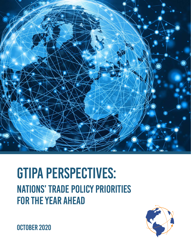

# GTIPA PERSPECTIVES: Nations' Trade Policy Priorities for the Year Ahead



**OCTOBER 2020**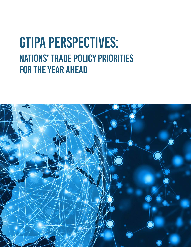# GTIPA PERSPECTIVES: Nations' Trade Policy Priorities for the Year Ahead

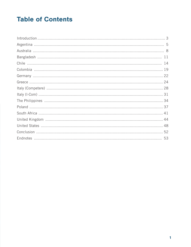# **Table of Contents**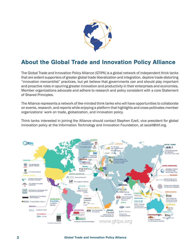

# About the Global Trade and Innovation Policy Alliance

The Global Trade and Innovation Policy Alliance (GTIPA) is a global network of independent think tanks that are ardent supporters of greater global trade liberalization and integration, deplore trade-distorting "innovation mercantilist" practices, but yet believe that governments can and should play important and proactive roles in spurring greater innovation and productivity in their enterprises and economies. Member organizations advocate and adhere to research and policy consistent with a core Statement of Shared Principles.

The Alliance represents a network of like-minded think tanks who will have opportunities to collaborate on events, research, and reports while enjoying a platform that highlights and cross-pollinates member organizations' work on trade, globalization, and innovation policy.

Think tanks interested in joining the Alliance should contact Stephen Ezell, vice president for global innovation policy at the Information Technology and Innovation Foundation, at sezell@itif.org.

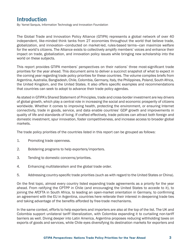#### **Introduction**

By: Yamel Sarquis, Information Technology and Innovation Foundation

The Global Trade and Innovation Policy Alliance (GTIPA) represents a global network of over 40 independent, like-minded think tanks from 27 economies throughout the world that believe trade, globalization, and innovation—conducted on market-led, rules-based terms—can maximize welfare for the world's citizens. The Alliance exists to collectively amplify members' voices and enhance their impact on trade, globalization, and innovation policy issues while bringing new scholarship into the world on these subjects.

This report provides GTIPA members' perspectives on their nations' three most-significant trade priorities for the year ahead. This document aims to deliver a succinct snapshot of what to expect in the coming year regarding trade policy priorities for these countries. The volume compiles briefs from Argentina, Australia, Bangladesh, Chile, Colombia, Germany, Italy, the Philippines, Poland, South Africa, the United Kingdom, and the United States. It also offers specific examples and recommendations that countries can seek to adopt to advance their trade policy agendas.

As stated in GTIPA's Shared Statement of Principles, trade and cross-border investment are key drivers of global growth, which play a central role in increasing the social and economic prosperity of citizens worldwide. Whether it comes to improving health, protecting the environment, or ensuring Internet connectivity, trade in goods, service, and data enable countries' GDP growth and improvements in quality of life and standards of living. If crafted effectively, trade policies can attract both foreign and domestic investment, spur innovation, foster competitiveness, and increase access to broader global markets.

The trade policy priorities of the countries listed in this report can be grouped as follows:

- 1. Promoting trade openness.
- 2. Bolstering programs to help exporters/importers.
- 3. Tending to domestic concerns/priorities.
- 4. Enhancing multilateralism and the global trade order.
- 5. Addressing country-specific trade priorities (such as with regard to the United States or China).

On the first topic, almost every country listed expanding trade agreements as a priority for the year ahead. From ratifying the CPTPP in Chile (and encouraging the United States to accede to it), to joining the AfCFTA in South Africa, to leading an open-market orientation in Germany, to confirming an agreement with the EU in Argentina, countries here reiterate their interest in deepening trade ties and taking advantage of the benefits afforded by free-trade mechanisms.

In the same context, efforts to help exporters and importers are also at the top of the list. The UK and Colombia support unilateral tariff liberalization, with Colombia expanding it to curtailing non-tariff barriers as well. Diving deeper into Latin America, Argentina proposes reducing withholding taxes on exports of goods and services, while Chile eyes diversifying its destination markets for exporters and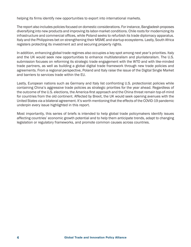helping its firms identify new opportunities to export into international markets.

The report also includes policies focused on domestic considerations. For instance, Bangladesh proposes diversifying into new products and improving its labor-market conditions. Chile roots for modernizing its infrastructure and commercial offices, while Poland seeks to refurbish its trade diplomacy apparatus. Italy and the Philippines bet on strengthening their MSME and startup ecosystems. Lastly, South Africa registers protecting its investment act and securing property rights.

In addition, enhancing global trade regimes also occupies a key spot among next year's priorities. Italy and the UK would seek new opportunities to enhance multilateralism and plurilateralism. The U.S. submission focuses on reforming its strategic trade engagement with the WTO and with like-minded trade partners, as well as building a global digital trade framework through new trade policies and agreements. From a regional perspective, Poland and Italy raise the issue of the Digital Single Market and barriers to services trade within the EU.

Lastly, European nations such as Germany and Italy list confronting U.S. protectionist policies while containing China's aggressive trade policies as strategic priorities for the year ahead. Regardless of the outcome of the U.S. elections, the America-first approach and the China threat remain top-of-mind for countries from the old continent. Affected by Brexit, the UK would seek opening avenues with the United States via a bilateral agreement. It's worth mentioning that the effects of the COVID-19 pandemic underpin every issue highlighted in this report.

Most importantly, this series of briefs is intended to help global trade policymakers identify issues affecting countries' economic growth potential and to help them anticipate trends, adapt to changing legislation or regulatory frameworks, and promote common causes across countries.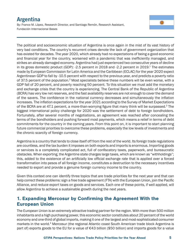## **Argentina**

By: Franco M. López, Research Director, and Santiago Remón, Research Assistant, Fundación Internacional Bases



The political and socioeconomic situation of Argentina is once again in the mist of its vast history of very bad conditions. The country's recurrent crises denote the lack of government organization that has existed for decades. The year 2020, which already had no expectations of being a good economic and financial year for the country, worsened with a pandemic that was inefficiently managed, and strikes an already damaged economy. Argentina had just experienced two consecutive years of decline in its gross domestic product (GDP): -2.5 percent in 2018 and -2.2 percent in 2019.<sup>1</sup> The estimates made by European Commission for Latin America and the Caribbean (ECLAC) for the year 2020 expect Argentinean GDP to fall by -10.5 percent with respect to the previous year, and predicts a poverty ratio of 37.5 percent of the population.<sup>2</sup> Most specialists believe these numbers will be even worse, with a GDP fall of 20 percent, and poverty reaching 50 percent. To this situation we must add the monetary and exchange crisis that the country is experiencing. The Central Bank of the Republic of Argentina (BCRA) has very low net reserves, and the fast availability reserves are not enough to cover the demand of the savers. The confidence in the national currency decreases and simultaneously the inflation increases. The inflation expectations for the year 2021 according to the Survey of Market Expectations of the BCRA are at 47.1 percent, a more-than-worrying figure that many think will be surpassed.3 The biggest international policy challenge for 2020 was the settlement of debt to foreign bondholders. Fortunately, after several months of negotiations, an agreement was reached after concealing the terms of the bondholders and pushing forward most payments, which means a relief in terms of debt commitments for the country in the coming years. From this point on, it is important to start planning future commercial priorities to overcome these problems, especially the low levels of investments and the chronic scarcity of foreign currency.

Argentina is a country that tends to close itself off from the rest of the world. Its foreign trade regulations are countless, and the tax burden it imposes on both exports and imports is enormous. Importing goods or services is a completely complicated act, full of confiscatory taxes, paperwork, and bureaucratic obstacles. When exporting, the Argentine state charges large taxes, which are known as "withholdings"; this, added to the existence of an artificially low official exchange rate that is applied over a forced transformation into pesos of all foreign income, constitutes a destruction to the necessary incentives needed to export and provide a genuine foreign currency income to the country.

Given this context one can identify three topics that are trade priorities for the next year and that can help correct these problems: sign a free trade agreement (FTA) with the European Union, join the Pacific Alliance, and reduce export taxes on goods and services. Each one of these points, if well applied, will allow Argentina to achieve a sustainable growth during the next years.

#### 1. Expanding Mercosur by Confirming the Agreement With the European Union

The European Union is an extremely attractive trading partner for the region. With more than 500 million inhabitants and a high purchasing power, this economic sector constitutes about 20 percent of the world economy and one-third of global imports, making it one of the largest and most-sophisticated consumer markets in the world.<sup>4</sup> Mercosur (the regional Atlantic coast South American trade block Argentina is part of) exports goods to the EU for a value of €43 billion (\$50 billion) and imports goods for a value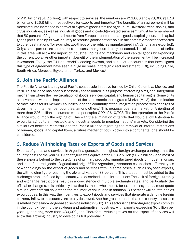of €45 billion (\$51.2 billion); with respect to services, the numbers are €11,000 and €23,000 (\$12.8 billion and \$26.8 billion) respectively for exports and imports.<sup>5</sup> The benefits of an agreement will be translated into increased exports of all types of goods from the agricultural, livestock, wine, fishing, and citrus industries, as well as industrial goods and knowledge-related services.<sup>6</sup> It must be remembered that 80 percent of Argentina's imports from Europe are intermediate goods, capital goods, and capital goods parts used by its own industry to produce goods that are sold in the domestic market or exported to other destinations (for example, two-thirds of the vehicles manufactured in Argentina are exported). Only a small portion are automobiles and consumer goods directly consumed. The elimination of tariffs in this area will allow the import of industrial inputs and machinery and capital goods by expanding the current tools.7 Another important benefit of the implementation of the agreement will be increased investment. Today, the EU is the world's leading investor, and all the other countries that have signed this type of agreement have seen a huge increase in foreign direct investment (FDI), including Chile, South Africa, Morocco, Egypt, Israel, Turkey, and Mexico.8

#### 2. Join the Pacific Alliance

The Pacific Alliance is a regional Pacific coast trade initiative formed by Chile, Colombia, Mexico, and Peru. This alliance has been successfully consolidated in its purpose of creating a regional integration mechanism where the free circulation of goods, services, capital, and human capital reigns. Some of its achievements were the implementation of the Latin American Integrated Market (MILA), the elimination of travel visas for its member countries, and the continuity of the integration process with changes of government in its member countries, among others.9 This proposal opens a market for Argentina of more than 226 million consumers with a per capita GDP of \$10,703. The incorporation to the Pacific Alliance would imply the signing of FTAs with the elimination of tariffs that would allow Argentina to export its agricultural, livestock, and industrial goods to member nations' markets. Considering the similarities between Mercosur and the Pacific Alliance regarding the removal of internal restrictions of human, goods, and capital flows, a future merger of both blocks into a continental one should be considered.

#### 3. **Reduce Withholding Taxes on Exports of Goods and Services**

Exports of goods and services in Argentina generate the highest foreign exchange earnings that the country has: For the year 2019, that figure was equivalent to €58.2 billion (\$67.7 billion), and most of these exports belong to the categories of primary products, manufactured goods of industrial origin, and manufactured goods of agricultural origin.<sup>10</sup> The Argentine government establishes different types of withholdings on the export of goods and services with, in some cases, such as soybean exports, the withholding figure reaching the abysmal value of 33 percent. This situation must be added to the exchange problem faced by the country, as described in the introduction: The lack of foreign currency and exchange restrictions result in a coexistence of multiple exchange rates, and particularly the official exchange rate is artificially low; that is, those who import, for example, soybeans, must quote a much-lower official dollar than the real market value, and in addition, 33 percent will be retained as export duties. In this way, the incentives to export goods and services that generate a genuine foreign currency inflow to the country are totally destroyed. Another great potential that the country possesses is related to the knowledge-based service industry (SBC). This sector is the third-largest export complex in the country (behind the soybean and automotive industries, with exports exceeding \$6 billion per year), generating more than 430,000 jobs. Therefore, reducing taxes on the export of services will allow this growing industry to develop its full potential.<sup>11</sup>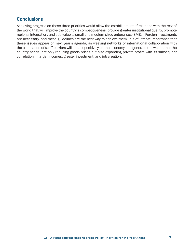#### **Conclusions**

Achieving progress on these three priorities would allow the establishment of relations with the rest of the world that will improve the country's competitiveness, provide greater institutional quality, promote regional integration, and add value to small and medium-sized enterprises (SMEs). Foreign investments are necessary, and these guidelines are the best way to achieve them. It is of utmost importance that these issues appear on next year's agenda, as weaving networks of international collaboration with the elimination of tariff barriers will impact positively on the economy and generate the wealth that the country needs, not only reducing goods prices but also expanding private profits with its subsequent correlation in larger incomes, greater investment, and job creation.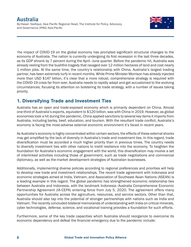## **Australia**

By:Hasan Tawfique, Asia Pacific Regional Head, The Institute for Policy, Advocacy, and Governance (IPAG) Asia-Pacific



The impact of COVID-19 on the global economy has prompted significant structural changes to the economy of Australia. The nation is currently undergoing its first recession in the last three decades, as its GDP shrank by 7 percent during the April–June quarter. Before the pandemic hit, Australia was already reeling from the bushfire tragedy that ravaged over 12 million hectares of land and cost nearly 1 million jobs. At the same time, the country's relationship with China, Australia's largest trading partner, has been extremely turfy in recent months. While Prime Minister Morrison has already injected more than USD \$147 billion, it's clear that a more robust, comprehensive strategy is required with the COVID-19 crisis far from over. Australia needs to rapidly adapt and get accustomed to the evolving circumstances, focusing its attention on bolstering its trade strategy, with a number of issues taking priority.

#### 1. Diversifying Trade and Investment Ties

Australia has an open and trade-exposed economy which is primarily dependent on China. Almost one-third of Australia's exports, equivalent to \$120 billion, was with China in 2019. However, as global economies took a hit during the pandemic, China applied sanctions to several key items it imports from Australia, including barley, beef, education, and tourism. With the resultant trade conflict, Australia's economy is facing the most-adverse external economic environment it's faced in recent years.

As Australia's economy is highly concentrated within certain sectors, the effects of these external shocks may get amplified by the lack of diversity in Australia's trade and investment ties. In this regard, trade diversification must be accorded a much higher priority than in previous times. The country needs to diversify investment ties with other nations to instill resilience into the economy. To heighten the foundation for Australia's economic engagement with the world, this diversification may involve a set of interlinked activities including those of government, such as trade negotiations and commercial diplomacy, as well as the-market development strategies of Australian businesses.

Additionally, implementing diverse policies according to regional preferences and priorities will help to develop new trade and investment relationships. The recent trade agreement with Indonesia and economic strategies aimed at India, Vietnam, and Association of Southeast Asian Nations (ASEAN) is a leading example in this regard. The global pandemic has strengthened economic relationship ties between Australia and Indonesia, with the landmark Indonesia–Australia Comprehensive Economic Partnership Agreement (IA-CEPA) entering force from July 5, 2020. The agreement offers many opportunities for Australia across the agriculture, resources, and service sectors. Other than that, Australia should also tap into the potential of stronger partnerships with nations such as India and Vietnam. The recently concluded bilateral memoranda of understanding with India on critical minerals, cyber technologies, defense, science, and vocational training provides a foundation for such efforts.

Furthermore, some of the key trade capacities which Australia should reorganize to overcome its economic dependency and defeat the financial emergency due to the pandemic include: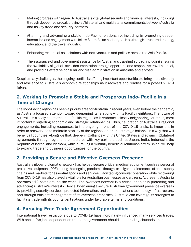- Making progress with regard to Australia's vital global security and financial interests, including through deeper reciprocal, provincial/bilateral, and multilateral commitments between Australia and its key trade and security partners.
- Attaining and advancing a stable Indo-Pacific relationship, including by promoting deeper interaction and engagement with fellow South-Asian nations, such as through structured training, education, and the travel industry.
- Enhancing reciprocal associations with new ventures and policies across the Asia-Pacific.
- The assurance of and government assistance for Australians traveling abroad, including ensuring the availability of global travel documentation through opportune and responsive travel counsel, and providing effective consular and visa administration in Australia and abroad.

Despite many challenges, the ongoing conflict is offering important opportunities to bring more diversity and resilience to Australia's economic relationships as it recovers and readies for a post-COVID-19 future.

#### 2. Working to Promote a Stable and Prosperous Indo- Pacific in a Time of Change

The Indo-Pacific region has been a priority area for Australia in recent years, even before the pandemic, as Australia focused attention toward deepening its relations with its Pacific neighbors. The future of Australia is closely tied to the Indo-Pacific region, as it embraces closely neighboring countries, most importantly regarding economic and strategic relationships. Thus, calibration of Australia's regional engagements, including responses to the ongoing impact of the COVID-19 crisis, is important in order to recover and to maintain stability of the regional order and strategic balance in a way that will benefit all countries. Alongside that, deepening alliance with the United States and advancing bilateral agreements through regional architectures with key partners such as Japan, India, Indonesia, the Republic of Korea, and Vietnam, while pursuing a mutually beneficial relationship with China, will help to expand trade and business opportunities for the country.

#### 3. Providing a Secure and Effective Overseas Presence

Australia's global diplomatic network has helped secure critical medical equipment such as personal protective equipment (PPE) during the ongoing pandemic through its diligent maintenance of open supply chains and markets for essential goods and services. Facilitating consular operation while recovering from COVID-19 has also played a vital role for Australian businesses and citizens. At present, Australia operates 112 posts around the world. The overseas network is a critical enabler in protecting and advancing Australia's interests. Hence, by ensuring a secure Australian government presence overseas by providing security services, protected information, and communications technology infrastructure, and through efficient management of its overseas properties, Australia can leverage its strengths to facilitate trade with its counterpart nations under favorable terms and conditions.

#### 4. Pursuing Free Trade Agreement Opportunities

International travel restrictions due to COVID-19 have inordinately influenced many services trades. With one in five jobs dependent on trade, the government should keep trading channels open and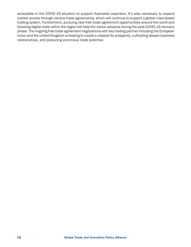accessible in the COVID-19 situation to support Australian exporters. It's also necessary to expand market access through various trade agreements, which will continue to support a global rules-based trading system. Furthermore, pursuing new free trade agreement opportunities around the world and boosting digital trade within the region will help the nation advance during the post-COVID-19 recovery phase. The ongoing free trade agreement negotiations with key trading partner including the European Union and the United Kingdom is helping to create a catalyst for prosperity, cultivating deeper business relationships, and producing enormous trade potential.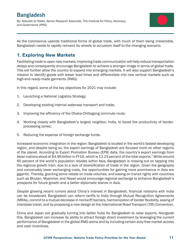## **Bangladesh**

By: Abdullah Ar Rafee, Senior Research Associate, The Institute for Policy, Advocacy, and Governance (IPAG)



As the coronavirus upends traditional forms of global trade, with much of them being irreversible, Bangladesh needs to rapidly reinvent its wheels to accustom itself to the changing scenario.

#### 1. Exploring New Markets

Facilitating trade to open new markets: Improving trade communication will help reduce transportation delays and consequently encourage Bangladesh to achieve a stronger image in terms of global trade. This will further allow the country to expand into emerging markets. It will also support Bangladesh's mission to identify goods with lesser lead times and differentiate into new vertical markets such as high-end ready-made garments (RMG).

In this regard, some of the key objectives for 2021 may include:

- 1. Launching a National Logistics Strategy;
- 2. Developing existing internal waterway transport and trade;
- 3. Improving the efficiency of the Dhaka-Chittagong commute route;
- 4. Working closely with Bangladesh's largest neighbor, India, to boost the productivity of borderprocessing zones;
- 5. Reducing the expense of foreign exchange funds.

Increased economic integration in the region: Bangladesh is located in the world's fastest-developing region, and despite being so, the export earnings of Bangladesh are focused more on other regions of the planet. According to Export Promotion Bureau (EPB) data, the country's export earnings from Asian nations stood at \$4.96 billion in FY19, which is 12.23 percent of the total exports.<sup>1</sup> While around 60 percent of the world's population resides within Asia, Bangladesh is missing out on tapping into the regional growth train, due to a lack of diversification of trade in the region. Given the geography and conceivably lower exchanging costs, the opportunities for gaining more prominence in Asia are gigantic. Thereby, granting some rebate on trade volumes, and easing on transit rights with countries such as Bhutan, Myanmar, and Nepal would encourage regional exchange to enhance Bangladesh's prospects for future growth and a better diplomatic stance in Asia.

Despite growing recent rumors about China's interest in Bangladesh, financial relations with India can be broadened. Bangladesh can reform tariffs to India through Mutual Recognition Agreements (MRAs), commit to a mutual decrease in nontariff barriers, harmonization of border flexibility, easing of interstate travel, and by proposing a new design at the International Road Transport (TIR) Convention.

China and Japan are gradually turning into better hubs for Bangladesh to raise exports. Alongside this, Bangladesh can increase its ability to attract foreign direct investment by leveraging the current performance of Bangladesh in the global RMG arena and by including certain duty-free market access and cash incentives.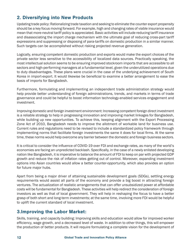#### 2. Diversifying into New Products

Updating trade policy: Rationalizing trade taxation and seeking to eliminate the counter export propensity should be a key focus moving forward. For example, high and changing rates of viable insurance would mean that more-neutral tariff policy is appreciated. Basic activities will include reducing tariff insurance and disassociating the import charge mechanism with the ultimate goal of reducing cross-part tariff expressions and suppressing or disposing of para-tariffs on domestic production in a similar manner. Such targets can be accomplished without risking projected revenue generation.

Logically, ensuring competent domestic production and exports would make the export choices of the private sector less sensitive to the accessibility of localized data sources. Practically speaking, the most intellectual solution seems to be ensuring improved stockroom imports that are accessible to all sectors and high-performing managers at a fundamental level, given the underutilized operations due to duty disadvantages. These plans were crucial in the case of the underlying achievement of South Korea in import-export. It would likewise be beneficial to examine a better arrangement to ease the basis of imports for Bangladesh.

Furthermore, formulating and implementing an independent trade administration strategy would help provide better understanding of foreign administrations, trends, and markets in terms of trade governance and could be helpful to boost information technology-enabled services engagement and investment.

Improving domestic and foreign investment environment: Increasing competent foreign direct investment is a reliable strategy to help in progressing innovation and improving market linkages for Bangladesh, while building up new opportunities. To achieve this, keeping alignment with the Export Processing Zone Act of 2010, Bangladesh needs to improve the allotment of workable land for business use. Current rules and regulations need to be revised to include a standardized policy framework through implementing norms that facilitate foreign investments the same it does for local firms. At the same time, these norms would help overcome any barrier between the domestic and foreign business sectors.

It is critical to consider the influence of COVID-19 over FDI and exchange rates, as many of the world's economies are facing an unpredicted backlash. Specifically, in the case of a newly enlisted developing nation like Bangladesh, it is imperative to balance the amount of FDI to keep on par with projected GDP growth and reduce the risk of inflation rates getting out of control. Moreover, expanding investment options into Asian countries would allow a better counter-opportunity, which also provides an option for future major hubs.

Apart from being a major driver of attaining sustainable development goals (SDGs), settling energy requirements would assist all parts of the economy and provide a big boost in attracting foreign ventures. The actualization of realistic arrangements that can offer unsubsidized power at affordable costs will be fundamental for Bangladesh. These activities will help redirect the consideration of foreign investors as well as that of local government. They will help in reshaping the focus to have a better grasp of both short and long-term investments; at the same time, involving more FDI would be helpful to uplift the current standard of local investment.

#### 3.Improving the Labor Market:

Skills, training, and capacity building: Improving skills and education would allow for improved worker efficiency, wage growth, and a decreased level of waste. In addition to other things, this will empower the production of better products. It will require formulating a complete vision for the development of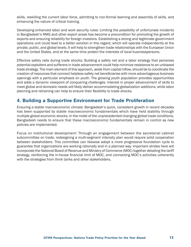skills, reskilling the current labor force, admitting to non-formal learning and assembly of skills, and enhancing the nature of critical training.

Developing enhanced labor and work security rules: Limiting the possibility of unfortunate incidents in Bangladesh's RMG and other export areas has become a precondition for promoting the growth of exports and ensuring reliability for foreign investors. Establishing a strong and legitimate government operations unit could lead to a better solution in this regard, which will operate independently at the private, public, and global levels. It will help to strengthen trade relationships with the European Union and the United States, and at the same time protect the interests of local businesspersons.

Effective safety nets during trade shocks: Building a safety net and a labor strategy that perceives potential exploiters and sufferers in trade advancement could help minimize resistance to an unbiased trade strategy. The main element of this approach, aside from capital inflow, should be to coordinate the creation of resources that connect helpless safety net beneficiaries with more advantageous business openings with a particular emphasis on youth. The growing youth population provides opportunities and adds a dynamic viewpoint of conquering challenges. Interest in proper advancement of skills to meet global and domestic needs will likely deliver accommodating globalization additions, while labor planning and retraining can help to ensure their flexibility to trade shocks.

#### 4. Building a Supportive Environment for Trade Proliferation

Ensuring a stable macroeconomic climate: Bangladesh's quick, consistent growth in recent decades has been supported by stable macroeconomic fundamentals which have held stability through multiple global economic shocks. In the midst of the unprecedented changing global trade conditions, Bangladesh needs to ensure that these macroeconomic fundamentals remain in control as new policies are implemented.

Focus on institutional development: Through an engagement between the secretarial cabinet subcommittee on trade, redesigning a multi-segment intensity plan would require solid cooperation between stakeholders. This committee can likewise adopt a more progressive foundation cycle to guarantee that organizations are working rationally and in a planned way. Important strides here will incorporate the National Board of Revenue and Ministry of Commerce (MOC) together detailing the tariff strategy, reinforcing the in-house financial limit of MOC, and connecting MOC's activities coherently with the strategies from think tanks and other stakeholders.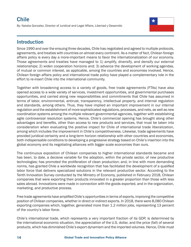# **Chile**

By: Natalia Gonzalez, Director of Juridical and Legal Affairs, Libertad y Desarrollo



#### **Introduction**

Since 1990 and over the ensuing three decades, Chile has negotiated and agreed to multiple protocols, agreements, and treaties with countries on almost every continent. As a matter of fact, Chilean foreign affairs policy is every day a more-important means to favor the internationalization of our economy. Those agreements and treaties have managed to 1) amplify, diversify, and densify our external relationships; 2) widen cooperation horizons and; 3) advance the development of working agendas, of mutual or common interest, as applicable, among the countries and economies involved. Hence, Chilean foreign affairs policy and international trade policy have played a complementary role in the effort to re-insert Chile into the international community.

Together with broadening access to a variety of goods, free trade agreements (FTAs) have also opened access to a wide variety of services, investment opportunities, and governmental purchases opportunities, and carried along new responsibilities and commitments that Chile has assumed in terms of labor, environmental, antirust, transparency, intellectual property, and internal regulation and standards, among others. Thus, they have implied an important improvement in our internal regulation and the establishment of more-sophisticated regulations, processes, and nets, as well as new coordination systems among the multiple relevant governmental agencies, together with establishing agile controversial resolution systems. Hence, Chile's commercial opening has brought along other advantages and benefits, other than access to new products and services, that must be taken into consideration when evaluating the positive impact for Chile of international trade liberalization, among which includes the improvement in Chile's competitiveness. Likewise, trade agreements have provided juridical certainty and a long-term horizon relationship with other countries and economies, both indispensable conditions to developing a progressive strategy based on Chile's insertion into the global economy and its negotiating alliances with bigger scale economies than ours.

The continuous exposition of Chilean companies to higher international standards became and has been, to date, a decisive variable for the adoption, within the private sector, of new productive technologies; has promoted the proliferation of clean production; and, in line with more demanding norms, has granted Chile a worldwide recognition that has facilitated the development of a qualified labor force that delivers specialized solutions in the relevant productive sector. According to the Tenth Innovation Survey conducted by the Ministry of Economy, published in February 2018, Chilean companies that were exporting their products innovated in a greater proportion than those with less sales abroad. Innovations were made in connection with the goods exported, and in the organization, marketing, and productive process.

Free trade agreements have amplified Chile's opportunities in terms of exports, improving the competitive position of Chilean companies, whether in direct or indirect exports. In 2018, there were 8,080 Chilean exporting companies which, together, generated more than 1.2 million jobs, representing 13 percent of the country's labor force.

Chile's international trade, which represents a very important fraction of its GDP, is determined by the international economic situation, the appreciation of the U.S. dollar, and the price (fall) of several products, which has diminished Chile's export dynamism and the imported volumes. Hence, Chile must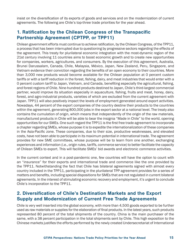insist on the diversification of its exports of goods and services and on the modernization of current agreements. The following are Chile's top-three trade priorities for the year ahead.

#### 1. Ratification by the Chilean Congress of the Transpacific Partnership Agreement (CPTPP, or TPP11)

Chilean government efforts must continue to achieve ratification, by the Chilean Congress, of the TPP11, a process that has been interrupted due to questioning by progressive sectors regarding the effects of the agreement. This treaty for plurilateral economic integration with the most-dynamic region of the 21st century involving 11 countries aims to boost economic growth and to create new opportunities for companies, workers, agricultures, and consumers. By the execution of this agreement, Australia, Brunei Darussalam, Canada, Chile, Malaysia, México, Japan, New Zealand, Peru, Singapore, and Vietnam evidence their conviction regarding the benefits of an open economy to their countries. More than 3,000 new products would become available for the Chilean population at 0 percent custom tariffs or with a tariff reduction in the forest, fishing, dairy, and meat industries that would enter with a 0 percent custom tariff to Japan, Vietnam, and Canada, benefiting especially the agricultural, fishing, and forest regions of Chile. Nine-hundred products destined to Japan, Chile's third-largest commercial partner, would improve its situation especially in aquaculture, fishing, fruits and meat, honey, dairy, forest, and agro-industrial products, varieties of which are excluded from the current agreement with Japan. TPP11 will also positively impact the levels of employment generated around export activities. Nowadays, 44 percent of the export companies of the country destine their products to the countries within the agreement, generating 800,000 jobs in the export sector at a national level. The treaty also contains the cumulation of origin, which means that independently of the origin of the raw materials, manufactured products in Chile will be able to bear the insignia "Made in Chile" to the world, opening opportunities for our SMEs. One such regard the TPP11 is the first free trade agreement to incorporate a chapter regarding SMEs, whose purpose it is to expedite the internationalization of these companies in the Asia-Pacific zone. These companies, due to their size, productive weaknesses, and elevated costs, have not been able to participate in its maximum potential in international trade. The agreement provides for new SME committees, whose purpose will be to learn from one another, exchanging experiences and information (i.e., origin rules, tariffs, commerce service) to better facilitate the capacity of Chilean SMEs to export. This will facilitate SMEs' bid awards and electronic commerce activities.

In the current context and in a post-pandemic one, few countries will have the option to count with an "insurance" for their exports and international trade and commerce like the one provided by the TPP11. Notwithstanding the fact that Chile has bilateral agreements signed with almost every country included in the TPP11, participating in the plurilateral TPP agreement provides for a series of matters and benefits, including special dispositions for SMEs that are not regulated in current bilateral agreements. In the interest of stimulating economic recovery and employment, it's urgent to conclude Chile's incorporation to the TPP11.

#### 2. Diversification of Chile's Destination Markets and the Export Supply and Modernization of Current Free Trade Agreements

Chile is very well inserted into the global economy, with more than 4,500 goods exported to be further used as raw materials or supplies for the elaboration of final products. In the latest years, such products represented 80 percent of the total shipments of the country. China is the main purchaser of the same, with a 38 percent participation in the total shipments sent by Chile. This high exposition to the Chinese markets justifies the efforts performed by the newly created Undersecretariat of International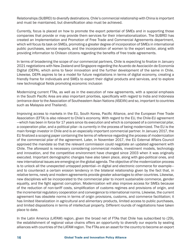Relationships (SUBREI) to diversify destinations. Chile's commercial relationship with China is important and must be maintained, but diversification also must be achieved.

Currently, focus is placed on how to promote the export potential of SMEs and in supporting those companies that provide or may provide them services for their internationalization. The SUBREI has created an Implementation and Promotion of Free Trade and Commercial Agreements department, which will focus its task on SMEs, promoting a greater degree of incorporation of SMEs in international public purchases, service exports, and the incorporation of women to the export sector, along with providing information to Chilean citizens regarding the benefits of free trade agreements.

In terms of broadening the scope of our commercial partners, Chile is expecting to finalize in January 2021 negotiations with New Zealand and Singapore regarding the Acuerdo de Asociación de Economía Digital (DEPA), which aims to favor innovation and the further development of the same in Chile. Likewise, DEPA aspires to be a model for future negotiations in terms of digital economy, creating a friendly frame for individuals and SMEs to export their digital products and services, and to explore new technological fields promoting economic inclusion

Modernizing current FTAs, as well as in the execution of new agreements, with a special emphasis in the South Pacific Area are also important priorities, specifically with regard to India and Indonesia (entrance door to the Association of Southeastern Asian Nations (ASEAN) and so, important to countries such as Malaysia and Thailand).

Improving access to markets in the EU, South Korea, Pacific Alliance, and the European Free Trade Association (EFTA) is also relevant to Chile's economy. With regard to the EU, the Chile-EU agreement —which has been in force for 17 years since its execution and which is composed of a commercial pilar, a cooperation pilar, and a political pilar—is currently in the process of being modernized. The EU is the main foreign investor in Chile and is an especially important commercial partner. In January 2017, the EU finalized a scoping paper containing the terms of reference regarding the process of modernization of the commercial pilar of the agreement. Later, in November 2017, the EU External Affairs Council approved the mandate so that the relevant commission could negotiate an updated agreement with Chile. The aforesaid is necessary considering commercial models, investment models, technology and innovation, and the competitive environment have changed since 2003 when it was originally executed. Important demographic changes have also taken place, along with geo-political ones, and new international issues are emerging on the global agenda. The objective of the modernization process is to unlock all the unexpected untapped potential—in digital and electronic commerce for example and to counteract a certain erosion tendency in the bilateral relationship given by the fact that, in relative terms, newly and modern agreements provide greater advantages to other countries. Likewise, new disciplines will be incorporated to the commercial pilar to incent sustainable commerce, gender equality, and the fight against corruption. Modernization will also improve access for SMEs because of the reduction of non-tariff costs, simplification of customs regimes and provisions of origin, and the incremental regulatory cooperation and convergence to international norms. Likewise, the current agreement has obsolete norms in terms of origin provisions, customs, and commerce facilitation; it has limited liberalization in agricultural and alimentary products, limited access to public purchases, and limited dispositions in terms of intellectual property. Different rounds of negotiations have taken place to date.

In the Latin America (LATAM) region, given the broad net of FTAs that Chile has subscribed to (29), the establishment of regional value chains offers an opportunity to diversify our exports by sealing alliances with countries of the LATAM region. The FTAs are an asset for the country to become an export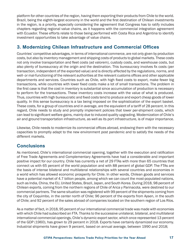platform for other countries of the region, having them exporting their products from Chile to the world. Brazil, being the eighth-largest economy in the world and the first destination of Chilean investments in the region, is a priority, especially considering the agreement that Congress has to ratify includes chapters regarding regional value chains, as it happens with the commercial integration agreement with Ecuador. These efforts relate to those being performed with Costa Rica and Argentina to identify investment opportunities to take advantage of value chains.

#### 3. Modernizing Chilean Infrastructure and Commercial Offices

Countries' competitive advantages, in terms of international commerce, are not only given by production costs, but also by inventory management and shipping costs of products to global markets. These costs not only involve transportation and fleet costs (ad valorem), custody costs, and warehouse costs, but also plenty of bureaucracy at the origin and the destination. This bureaucracy involves fix costs (per transaction, independent of the exported value) and is directly affected by the regulations, norms, and well- or mal-functioning of the relevant authorities at the relevant customs offices and other applicable departments and services. Countries such as Chile, with high fixed costs to export, make fewer big transactions, while countries with lower fixed costs make a lot of small transactions. The problem in the first case is that the cost in inventory is substantial since accumulation of production is necessary to perform for the transactions. These inventory costs increase with the value of what is produced. Thus, countries with high bureaucratic and fixed costs tend to produce and export cheap goods of lower quality. In this sense bureaucracy is a tax being imposed on the sophistication of the export basket. These costs, for a group of countries and in average, are the equivalent of a tariff of 28 percent. In this regard, Chile needs to study and promptly implement policies that lower per-shipment costs, which can lead to significant welfare gains, mainly due to induced quality upgrading. Modernization of Chile's air and ground transportation infrastructure, as well as its port infrastructure, is of major importance.

Likewise, Chile needs to modernize its commercial offices abroad, endowing them with the necessary capacities to promptly adapt to the new environment post pandemic and to satisfy the needs of the different markets.

#### **Conclusions**

As mentioned, Chile's international commercial opening, together with the execution and ratification of Free Trade Agreements and Complementary Agreements have had a considerable and important positive impact for our country. Chile has currently a net of 29 FTAs with more than 65 countries that connect us with 65 percent of the world population and with 88 percent of global GDP. The FTAs are the basis of intense bilateral and multilateral relationships with several countries and economies in a world which has allowed economic prosperity for Chile. In other words, Chilean goods and services have a potential market of 4.7 billion people, among which we can count the most-populated nations, such as India, China, the EU, United States, Brazil, Japan, and South Korea. During 2018, 98 percent of Chilean exports, coming from the northern regions of Chile of Arica y Parinacota, were destined to our commercial partners. The same situation was registered with 99 percent of the shipments coming from the city of Coquimbo, in the center north of Chile; 96 percent of the exports from Aysen, in the south of Chile; and 92 percent of the sales abroad of companies located on the southern region of Los Ríos.

As a matter of fact, in 2018, 95 percent of our international commercial trade was made with economies with which Chile had subscribed an FTA. Thanks to the successive unilateral, bilateral, and multilateral international commercial openings, Chile's dynamic export sector, which once represented 13 percent of the GDP (1960), has grown to 29 percent in 2018. Exports have certainly dynamized our economy. Industrial shipments have grown 9 percent, based on annual average, between 1990 and 2018;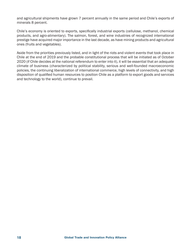and agricultural shipments have grown 7 percent annually in the same period and Chile's exports of minerals 8 percent.

Chile's economy is oriented to exports, specifically industrial exports (cellulose, methanol, chemical products, and agro-alimentary). The salmon, forest, and wine industries of recognized international prestige have acquired major importance in the last decade, as have mining products and agricultural ones (fruits and vegetables).

Aside from the priorities previously listed, and in light of the riots and violent events that took place in Chile at the end of 2019 and the probable constitutional process that will be initiated as of October 2020 (if Chile decides at the national referendum to enter into it), it will be essential that an adequate climate of business (characterized by political stability, serious and well-founded macroeconomic policies, the continuing liberalization of international commerce, high levels of connectivity, and high disposition of qualified human resources to position Chile as a platform to export goods and services and technology to the world), continue to prevail.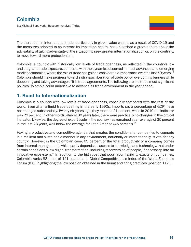By: Michael Sepúlveda, Research Analyst, TicTac

The disruption in international trade, particularly in global value chains, as a result of COVID-19 and the measures adopted to counteract its impact on health, has unleashed a great debate about the advisability of taking advantage of the situation to seek greater internationalization or, on the contrary, to move toward more protectionism.

Colombia, a country with historically low levels of trade openness, as reflected in the country's low and stagnant trade exposure, contrasts with the dynamics observed in most advanced and emerging market economies, where the role of trade has gained considerable importance over the last 50 years.<sup>12</sup> Colombia should make progress toward a strategic liberation of trade policy, overcoming barriers while deepening and taking advantage of it is trade agreements. The following are the three most-significant policies Colombia could undertake to advance its trade environment in the year ahead.

#### 1. Road to Internationalization

Colombia is a country with low levels of trade openness, especially compared with the rest of the world. Even after a timid trade opening in the early 1990s, imports (as a percentage of GDP) have not changed substantially. Twenty-six years ago, they reached 21 percent, while in 2019 the indicator was 22 percent. In other words, almost 30 years later, there were practically no changes in this critical indicator. Likewise, the degree of export trade in the country has remained at an average of 35 percent in the last 28 years, well below the average for Latin America  $(45 \text{ percent})$ .<sup>13</sup>

Having a productive and competitive agenda that creates the conditions for companies to compete in a resilient and sustainable manner in any environment, nationally or internationally, is vital for any country. However, in the Colombian case, 65 percent of the total productivity of a company comes from internal management, which partly depends on access to knowledge and technology, that under certain conditions allow digital transformation, including reconversion of people, if necessary, into an innovative ecosystem.<sup>14</sup> In addition to the high cost that poor labor flexibility exacts on companies, Colombia ranks 88th out of 141 countries in Global Competitiveness Index of the World Economic Forum (IGC), highlighting the low position obtained in the hiring and firing practices (position 117 ).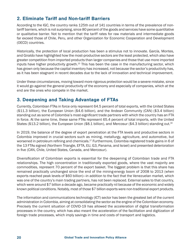#### 2. Eliminate Tariff and Non-tariff Barriers

According to the IGC, the country ranks 125th out of 141 countries in terms of the prevalence of nontariff barriers, which is not surprising, since 80 percent of the goods and services have some quantitative or qualitative barrier. Not to mention that the tariff rates for raw materials and intermediate goods far exceed those of Chile, Peru, and other Organization for Economic Cooperation and Development (OECD) countries.

Historically, the protection of local production has been a stimulus not to innovate. García, Montes, and Giraldo have highlighted how the most-productive sectors are the least protected, which also have greater competition from imported products than larger companies and those that use more imported inputs have higher productivity growth.15 This has been the case in the manufacturing sector, which has grown only because the capital inventory has increased, not because the sector's productivity has, as it has been stagnant in recent decades due to the lack of innovation and technical improvement.

Under these circumstances, moving toward more rigorous protection would be a severe mistake, since it would go against the general productivity of the economy and especially of companies, which at the end are the ones who compete in the market.

#### 3. Deepening and Taking Advantage of FTAs

Currently, Colombian FTAs in force only represent 64.5 percent of total exports, with the United States (\$11.3 billion), the European Union (\$4.6 billion), and the Andean Community (CAN) (\$3.4 billion) standing out as some of Colombia's most-significant trade partners with which the country has an FTA in force. At the same time, these same FTAs represent 65.4 percent of total imports, with the United States (\$13.2 billion), the European Union (\$8.1 billion), and Mercosur (\$4.3 billion) standing out.<sup>16</sup>

In 2019, the balance of the degree of export penetration at the FTA levels and productive sectors in Colombia improved in crucial sectors such as mining, metallurgy, agriculture, and automotive, but worsened in petroleum refining and chemicals.<sup>17</sup> Furthermore, Colombia registered trade gains in 6 of the 13 FTAs signed (Northern Triangle, EFTA, EU, G3, Panama, and Israel) and presented deterioration in five (CAN, Chile, United States, Canada, and Mercosur).

Diversification of Colombian exports is essential for the deepening of Colombian trade and FTA relationships. The high concentration in traditionally exported goods, where the vast majority are commodities, represent 70 percent of the export basket. The biggest problem is that this share has remained practically unchanged since the end of the mining-energy boom of 2008 to 2013 (when exports reached peak levels of \$60 billion)—in addition to the fact that the Venezuelan market, which was one of the country's main trading partners, has not been replaced. External sales to that country, which were around \$7 billion a decade ago, became practically nil because of the economic and widely known political conditions. Notably, most of those \$7 billion exports were non-traditional export products.

The information and communications technology (ICT) sector has been the greatest bet of the current administration in Colombia, aiming at consolidating the sector as the engine of the Colombian economy. Precisely the current situation of COVID-19 has allowed the acceleration of digital transformation processes in the country, which has also meant the acceleration of the facilitation and digitization of foreign trade processes, which imply savings in time and costs of transport and logistics.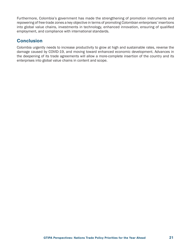Furthermore, Colombia's government has made the strengthening of promotion instruments and repowering of free-trade zones a key objective in terms of promoting Colombian enterprises' insertions into global value chains, investments in technology, enhanced innovation, ensuring of qualified employment, and compliance with international standards.

#### **Conclusion**

Colombia urgently needs to increase productivity to grow at high and sustainable rates, reverse the damage caused by COVID-19, and moving toward enhanced economic development. Advances in the deepening of its trade agreements will allow a more-complete insertion of the country and its enterprises into global value chains in content and scope.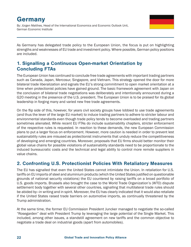# Germany

By: Jürgen Matthes, Head of the International Economics and Economic Outlook Unit, German Economic Institute

As Germany has delegated trade policy to the European Union, the focus is put on highlighting strengths and weaknesses of EU trade and investment policy. Where possible, German policy positions are included.

#### 1. Signalling a Continuous Open-market Orientation by Concluding FTAs

The European Union has continued to conclude free trade agreements with important trading partners such as Canada, Japan, Mercosur, Singapore, and Vietnam. This strategy opened the door for more bilateral trade liberalization and signals the EU's strong commitment to open market orientation at a time when protectionist policies have gained ground. The basic framework agreement with Japan on the conclusion of bilateral trade negotiations was deliberately and intentionally announced during a G20 meeting in the presence of the U.S. president. The European Union is to be praised for its global leadership in forging many and varied new free trade agreements.

On the flip side of this, however, for years civil society groups have lobbied to use trade agreements (and thus the lever of the large EU market) to induce trading partners to adhere to stricter labour and environmental standards even though trade policy tends to become overloaded and trading partners sometimes alienated. While recent EU FTAs do include sustainability chapters, stricter enforcement of the respective rules is requested. In reaction to these demands, the new European Commission plans to put a larger focus on enforcement. However, more caution is needed in order to prevent lest sustainability rules are misused as protectionist instruments that unduly reduce the competitiveness of developing and emerging countries. Moreover, proposals that EU firms should better monitor their global value chains for possible violations of sustainability standards need to be proportionate to the induced bureaucratic costs and the technical and legal ability to control more remote suppliers in value chains.

#### 2. Confronting U.S. Protectionist Policies With Retaliatory Measures

The EU has signalled that even the United States cannot intimidate the Union. In retaliation for U.S. tariffs on EU imports of steel and aluminium products (which the United States justified on questionable grounds of national security violations) the EU countered by raising tariffs on a broad portfolio of U.S. goods imports. Brussels also brought the case to the World Trade Organization's (WTO) dispute settlement body together with several other countries, signalling that multilateral trade rules should be abided by—in writing and in spirit. Moreover, the EU has clearly indicated that it would also retaliate if the United States raised trade barriers on automotive imports, as continually threatened by the Trump administration.

At the same time, the former EU Commission President Juncker managed to negotiate the so-called "Rosegarden" deal with President Trump by leveraging the large potential of the Single Market. This included, among other issues, a standstill agreement on new tariffs and the common objective to negotiate a trade deal on industrial goods (apart from automobiles).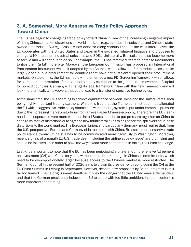#### 3. A, Somewhat, More Aggressive Trade Policy Approach Toward China

The EU has begun to change its trade policy toward China in view of the increasingly negative impact of rising Chinese market distortions on world markets, (e.g., by industrial subsidies and Chinese stateowned enterprises (SOEs)). Brussels has done so along various lines: At the multilateral level, the EU cooperates with the United States and Japan in the so-called Trilateral Initiative and proposes to change WTO's rules on industrial subsidies and SOEs. Unilaterally, Brussels has also become more assertive and will continue to do so. For example, the EU has reformed its trade-defense instruments to give them (a bit) more bite. Moreover, the European Commission has proposed an International Procurement Instrument which, if adopted by the Council, would allow the EU to reduce access to its largely open public procurement for countries that have not sufficiently opened their procurement markets. On top of this, the EU has rapidly implemented a new FDI Screening framework which allows for a broader interpretation of the national security exemption to the general free movement of capital for non-EU countries. Germany will change its legal framework in line with this new framework and will look more critically at takeovers that could lead to a transfer of sensitive technologies.

At the same time, the EU is seeming to achieve equidistance between China and the United States, both being highly important trading partners. While it is true that the Trump administration has alienated the EU with its aggressive trade policy stance, the world trading system is put under immense pressure due to the increasing market distortions from an ever-larger Chinese economy. Therefore, the EU clearly needs to cooperate (even) more with the United States in order to put pressure together on China to change its market distortions or to agree to new multilateral rules to ring-fence the spillovers of Chinese distortions to the world market. The European Union, and particularly Germany, must realize that, from the U.S. perspective, Europe and Germany side too much with China. Brussels' more assertive trade policy stance toward China still has to be communicated more rigorously to Washington. Moreover, recent signals of a (small) EU-U.S. trade deal (including the airline subsidy issue) are promising and should be followed up in order to pave the way toward more cooperation in facing the China challenge.

Lastly, it's important to note that the EU has been negotiating a bilateral Comprehensive Agreement on Investment (CAI) with China for years, without a real breakthrough in Chinese commitments, which need to be disproportionately larger because access to the Chinese market is more restricted. The German Council in the second half of 2020 aims to crown its presidency by concluding the CAI at the EU-China Summit in Leipzig in September. However, despite new proposals by China, progress is still far too limited. The Leipzig Summit deadline implies the danger that the EU becomes a demandeur and that the German presidency induces the EU to settle with too little ambition. Instead, content is more important than timing.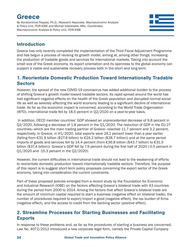# Greece

By Konstantinos Peppas, Ph.D., Research Associate, Macroeconomic Analysis & Policy Unit, FEIR-IOBE and Michail Vasileiadis, MSc, Coordinator, Macroeconomic Analysis & Policy Unit, FEIR-IOBE



#### Introduction

Greece has only recently completed the implementation of the Third Fiscal Adjustment Programme and has begun a process of revising its growth model, aiming at, among other things, increasing the production of tradable goods and services for international markets. Taking into account the small size of the Greek economy, its export orientation and its openness to the global economy can support a viable and sustainable recovery process both in the short and long term.

#### 1. Reorientate Domestic Production Toward Internationally Tradable **Sectors**

However, the spread of the new COVID-19 coronavirus has added additional burden to the process of shifting Greece's growth model toward tradable sectors. Its rapid spread around the world has had significant negative effects on the health of the Greek population and disrupted normal social life as well as severely affecting the world economy leading to a significant decline of international trade. As far as the economic impact is concerned, according to the World Trade Organization (WTO), international trade fell by 18.5 percent in Q2/2020 on a year-to-year basis.

 In addition, OECD member countries' GDP showed an unprecedented decrease of 9.8 percent in Q2/2020, following a decrease of 1.8 percent in the Q1/2020. The reduction of GDP in the EU-27 countries—which are the main trading partner of Greece—reached 11.7 percent and 3.2 percent, respectively. In Greece, in H1/2020, total exports were 24.1 percent lower than a year earlier (falling from €31.9 billion (\$27.8 billion) to €24.2 billion (\$28.7 billion)) and at the same period imports of goods and services fell by 14.4 percent (from €36.8 billion (\$43.7 billion) to €31.5 billion (\$37.4 billion)). Greece's GDP fell by 7.9 percent during the first half of 2020 (-0.5 percent in Q1/2020 and -15.3 percent in the Q2/2020).

However, the current difficulties in international trade should not lead to the weakening of efforts to reorientate domestic production toward internationally tradable sectors. Therefore, the purpose of this report is to suggest short-term policy proposals concerning the export sector of the Greek economy, taking into consideration the current constraints.

Part of these proposed policies emerged from a recent study by the Foundation for Economic and Industrial Research (IOBE) on the factors affecting Greece's bilateral trade with 43 countries during the period from 2000 to 2014. Among the factors that affect Greece's bilateral trade are the amount of minimum capital required to start a business (negative effect on bilateral trade), the number of procedures required to export/import a good (negative effect), the tax burden of firms (negative effect), and the access to credit from the banking sector (positive effect).

#### 2. Streamline Processes for Starting Businesses and Facilitating **Exports**

In response to these problems and, as far as the *procedures of starting a business* are concerned, Law No. 4072/2012 introduced a new corporate legal form, namely the Private Capital Company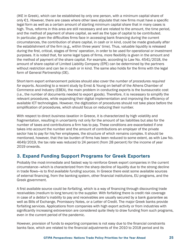(IKE in Greek), which can be established by only one person, with a minimum capital share of only €1. However, there are cases where other laws stipulate that new firms must have a specific legal form as well as a certain amount of starting minimum capital share that in many cases is high. Thus, reforms in this area are still necessary and are related to the amount, the time period, and the method of payment of share capital, as well as the type of capital to be contributed. In particular, given the difficulties firms face in accessing bank financing during the current circumstances, the contribution of share capital, in cash or in kind, could be made gradually after the establishment of the firm (e.g., within three years' time). Thus, valuable liquidity is released during the first, critical, stages of firms' operation, in order to be used for operational or investment purposes. It is noted that, for some legal types of firms, more flexibility is given in the amount and the method of payment of the share capital. For example, according to Law No. 4541/2018, the amount of share capital of Limited Liability Company (EPE) can be determined by the partners without restriction and can be in cash or in kind. The same also holds for the firms with the legal form of General Partnership (OE).

Short-term export enhancement policies should also cover the *number of procedures required for exports*. According to a recent study by Ernst & Young on behalf of the Athens Chamber of Commerce and Industry (EBEA), the main problem in conducting exports is the bureaucratic cost (i.e., the number of documents needed to export goods). Therefore, it is necessary to simplify the relevant procedures, while expanding their digital implementation and improving the efficiency of available ICT technologies. However, the digitization of procedures should not take place before the simplification of procedures, which should focus on reducing their number.

With respect to direct *business taxation* in Greece, it is characterized by high volatility and fragmentation, resulting in uncertainty not only for the amount of tax liabilities but also for the number of taxes and contributions a firm has to pay. These conditions are exacerbated if one takes into account the number and the amount of contributions an employer of the private sector has to pay for his/her employees, the structure of which remains complex. It should be mentioned, however, that the tax burden of firms has been reduced to some extent, as with Law No. 4649/2019, the tax rate was reduced to 24 percent (from 28 percent) for the income of year 2019 onwards.

#### 3. Expand Funding Support Programs for Greek Exporters

Probably the most-immediate and fastest way to reinforce Greek export companies in the current circumstance—which is characterized from the sharp decline of liquidity due to the strong decline in trade flows—is to *find available funding sources*. In Greece there exist some available sources of external financing, from the banking system, other financial institutions, EU programs, and the Greek government.

A first available source could be *forfaiting*, which is a way of financing through discounting trade receivables (medium to long tenure) to the supplier. With forfaiting there is credit risk coverage in case of a debtor's inability to pay and receivables are usually secured by a bank guarantee as well as Bills of Exchange, Promissory Notes, or a Letter of Credit. The major Greek banks provide forfaiting services. Applications from companies with high export activity or from industries with significantly increasing extroversion are considered quite likely to draw funding from such programs, even in the current period of the pandemic.

However, provision of funds to exporting companies is not easy due to the financial constraints banks face, which are related to the financial adjustments of the 2010 to 2018 period and its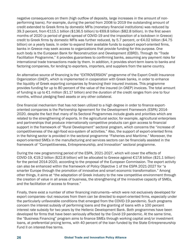negative consequences on them (high outflow of deposits, large increases in the amount of nonperforming loans). For example, during the period from 2008 to 2019 the outstanding amount of credit extended to Greek firms by domestic MFIs (monetary financial institutions) was reduced by 39.3 percent, from €115.1 billion (\$136.5 billion) to €69.8 billion (\$82.8 billion). In the first seven months of 2020 (a period of great spread of COVID-19 and the imposition of a lockdown in Greece) credit to Greek firms by domestic MFIs was further reduced, by 5.7 percent, or €4.02 billion (\$4.75 billion) on a yearly basis. In order to expand their available funds to support export-oriented firms, banks in Greece may seek access to organizations that provide funding for this purpose. One such body is the European Bank for Reconstruction and Development (EBRD). Through its "Trade Facilitation Programme," it provides guarantees to confirming banks, assuming any payment risks for international trade transactions made by them. In addition, it provides short-term loans to banks and factoring companies, for lending to exporters, importers, and suppliers from the same country.

An alternative source of financing is the "EXTROVERSION" programme of the Export Credit Insurance Organization (OAEP), which is implemented in cooperation with Greek banks, in order to enhance the liquidity of Greek exporting companies by financing their insured invoices. This programme provides funding for up to 80 percent of the value of the insured (in OAEP) invoices. The total amount of funding is up to €1 million (\$1.17 billion) and the duration of the credit ranges from one to four months, without pledging fixed assets or any other collateral.

One financial mechanism that has not been utilized to a high degree in order to finance exportoriented companies is the Partnership Agreement for the Development Framework (ESPA) 2014- 2020, despite the fact that many of its Sectoral Programmes include goals and priorities which are related to the strengthening of exports. In the agricultural sector, for example, agricultural enterprises and partnerships that produce internationally competitive products can gain access to financial support in the framework of "Rural Development" sectoral program, which concerns the "increase of competitiveness of the agri-food eco-system of activities." Also, the support of export-oriented firms in the fishing sector is provided in the sectoral programme "Fisheries and Maritime." Moreover, the export-oriented SMEs in the manufacturing and services sectors can be financially assisted in the framework of "Competitiveness, Entrepreneurship, and Innovation" sectoral programme.

During the new programming period of the ESPA, 2021-2027, which will cover the effects of COVID-19, €19.2 billion (\$22.8 billion) will be allocated to Greece against €17.8 billion (\$21.1 billion) for the period 2014-2020, according to the proposal of the European Commission. The export activity can also be enhanced within the framework of Policy Objective 1 of the ESPA 2021-2027 for "a smarter Europe through the promotion of innovative and smart economic transformation." Among other things, it aims at "the adaptation of Greek industry to the new competitive environment through the creation of value in all areas of business, the strengthening of the innovative capacity of SMEs, and the facilitation of access to finance."

Finally, there exist a number of other financing instruments—which were not exclusively developed for export companies—but resources from them can be directed to export-oriented firms, especially under the particularly unfavorable conditions that emerged from the COVID-19 pandemic. Such programs concern the interest subsidy of performing loans and the granting of loans with a 100 percent interest rate subsidy for two years by the Hellenic Development Bank. Both programmes have been developed for firms that have been seriously affected by the Covid-19 pandemic. At the same time, the "Business Financing" program aims to finance SMEs through working capital and/or investment loans, at preferential pricing terms, with 40 percent of the loan funded by the State Entrepreneurship Fund II on interest-free terms.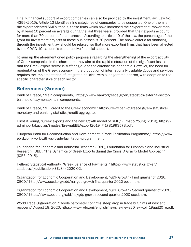Finally, financial support of export companies can also be provided by the investment law (Law No. 4399/2016). Article 12 identifies nine categories of companies to be supported. One of them is the export-oriented SMEs, that is, those firms which have increased their exports to turnover ratio by at least 10 percent on average during the last three years, provided that their exports account for more than 70 percent of their turnover. According to article 40 of the law, the percentage of the grant for investment projects of these businesses is 70 percent. The above criteria for financing through the investment law should be relaxed, so that more exporting firms that have been affected by the COVID-19 pandemic could receive financial support.

To sum up the aforementioned policy proposals regarding the strengthening of the export activity of Greek companies in the short-term, they aim at the rapid restoration of the significant losses that the Greek export sector is suffering due to the coronavirus pandemic. However, the need for reorientation of the Greek economy in the production of internationally tradable goods and services requires the implementation of integrated policies, with a longer time horizon, with adaption to the specific characteristics of each sector.

#### References (Greece)

Bank of Greece, "Main components," https://www.bankofgreece.gr/en/statistics/external-sector/ balance-of-payments/main-components.

Bank of Greece, "MFI credit to the Greek economy," https://www.bankofgreece.gr/en/statistics/ monetary-and-banking-statistics/credit-aggregates.

Ernst & Young, "Greek exports and the new growth model of SME," (Ernst & Young, 2019), https:// adminportal.acci.gr/images/ErevnaEBEAexport2019\_F-1781993573.pdf.

European Bank for Reconstruction and Development, "Trade Facilitation Programme," https://www. ebrd.com/work-with-us/trade-facilitation-programme.html.

Foundation for Economic and Industrial Research (IOBE), Foundation for Economic and Industrial Research (IOBE), "The Dynamics of Greek Exports during the Crisis: A Gravity Model Approach" (IOBE, 2018).

Hellenic Statistical Authority, "Greek Balance of Payments," https://www.statistics.gr/en/ statistics/-/publication/SEL84/2020-Q2.

Organization for Economic Cooperation and Development, "GDP Growth - First quarter of 2020, OECD," http://www.oecd.org/sdd/na/gdp-growth-first-quarter-2020-oecd.htm.

Organization for Economic Cooperation and Development, "GDP Growth - Second quarter of 2020, OECD," https://www.oecd.org/sdd/na/gdp-growth-second-quarter-2020-oecd.htm.

World Trade Organization, "Goods barometer confirms steep drop in trade but hints at nascent recovery," August 19, 2020, https://www.wto.org/english/news\_e/news20\_e/wtoi\_19aug20\_e.pdf.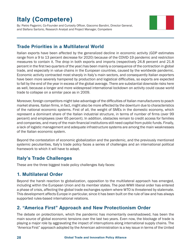# Italy (Competere)

By: Pietro Paganini, Co-Founder and Curiosity Officer, Giacomo Bandini, Director General, and Stefano Sartorio, Research Analyst and Project Manager, Competere

#### Trade Priorities in a Multilateral World

Italian exports have been affected by the generalized decline in economic activity (GDP estimates range from a 9 to 13 percent decrease for 2020) because of the COVID-19 pandemic and restriction measures to contain it. The drop in both exports and imports (respectively 24.8 percent and 21.8 percent in the first two quarters of the year) has been mainly a consequence of the contraction in global trade, and especially in value chains in the European countries, caused by the worldwide pandemic. Economic activity contracted most sharply in Italy's main sectors, and consequently Italian exporters have been more severely hampered by production and logistical difficulties, so exports are expected to fall by the end of the year in excess of the global average. There are substantial downside risks here as well, because a longer and more widespread international lockdown on activity could cause world trade to collapse on a similar pace as in 2009.

Moreover, foreign competitors might take advantage of the difficulties of Italian manufacturers to poach market shares. Italian firms, in fact, might also be more affected by the downturn due to characteristics of the national economic systems. First of all, the weight of SMEs in the domestic economy, which represent a dominant share of the Italian industrial structure, in terms of number of firms (over 99 percent) and employees (over 65 percent). In addition, obstacles remain to credit access for families and companies, and many of the main financial institutions still need capital from public funds. Finally, a lack of logistic management and adequate infrastructure systems are among the main weaknesses of the Italian economic system.

Beyond the contestation of economic globalization and the pandemic, and the previously mentioned systemic peculiarities, Italy's trade policy faces a series of challenges and an international political framework to which it will have to adapt.

#### Italy's Trade Challenges

These are the three biggest trade policy challenges Italy faces:

#### 1. Multilateral Order

Beyond the harsh reaction to globalization, opposition to the multilateral approach has emerged, including within the European Union and its member states. The post-WWII liberal order has entered a phase of crisis, affecting the global trade exchanges system where WTO is threatened by stalemate. This development affects Europe in particular, since it has been built on the rule of law and has always supported rules-based international relations.

#### 2. "America First" Approach and New Protectionism Order

The debate on protectionism, which the pandemic has momentarily overshadowed, has been the main source of global economic tensions over the last two years. Even now, the blockage of trade is playing a major role by aggravating the impact of interruptions along international supply chains. The "America First" approach adopted by the American administration is a key issue in terms of the United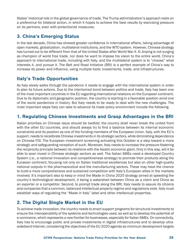States' historical role in the global governance of trade. The Trump administration's approach rests on a preference for bilateral action, in which it hopes to achieve the best results by exercising pressure on its partners, even with protectionist measures.

#### 3. China's Emerging Status

In the last decade, China has showed greater confidence in international affairs, taking advantage of open markets, globalization, multilateral institutions, and the WTO system. However, Chinese strategy has turned out to be different from that of the United States after World War II. Xi Jinping is not surging as champion of world free trade, nor does he want to impose his vision to the entire world. China's approach to international trade, including with Italy, and the multilateral system is to "choose" what interests it, and pursue it. The Belt and Road Initiative (BRI) is a perfect example of China's way to increase its power and influence, using multiple tools: investments, trade, and infrastructures.

#### Italy's Trade Opportunities

As Italy slowly walks through the pandemic it needs to engage with the international system in order to plan its future actions. Due to the intertwined bond between politics and trade, Italy has been one of the most important countries in the EU regarding international relations on the European continent. Due to its diplomatic and geographic position, the country is starting in a favorable position amid one of the worst pandemics in history. But Italy needs to be ready to deal with the new challenges. The most important steps Italy can take to advance its trade policy environment include the following.

#### 1. Regulating Chinese Investments and Grasp Advantages in the BRI

Italian priorities on Chinese issue should be twofold: the country shall never break the united front with the other EU countries, and should always try to find a balance between its internal economic constraints and its position as one of the funding members of the European Union. Italy, with the EU's support, needs to recalibrate Chinese investments in its strategic sectors, while diminishing dependence on Chinese FDI. The European investment screening activating this October is a step toward a more strategic and safeguarding reception of such. Moreover, Italy needs to increase the pressure fostering the reciprocity principle between its relations with the Asiatic economic giant. Only in this way, will it be able to soon invest in Chinese strategic sectors as well. The Italian SMEs need a developed Country System (i.e., a national innovation and competitiveness strategy) to promote their products along the Eurasian continent, focusing not only on Italian traditional excellences but also on other high-quality national outputs in the pharmaceutical and the manufacturing sectors. These may have the chance to build a more comprehensive and sustained competition with Italy's European allies in the markets involved. It's important also to keep in mind the Made in China 2025 strategy aimed at speeding the country's technological development, it being a watershed between China as a client and China as an exporter or a competitor. Second, to prompt trade along the BRI, Italy needs to assure its citizens and companies that a common, balanced intellectual property regime and regulations exist. Italy must establish ways of regulating the "Made in Italy" label and other intellectual properties.

#### 2. The Digital Single Market in the EU

To achieve trade innovation, the country needs to enact support programs for structural investments to ensure the interoperability of the systems and technologies used, as well as to develop the potential of e-commerce, which represents a new frontier for businesses, especially for Italian SMEs. On connectivity, Italy has to encourage public and private investments in digital infrastructures and to develop ultrawideband Internet, considering the objectives of the EU 2020 agenda as minimum development targets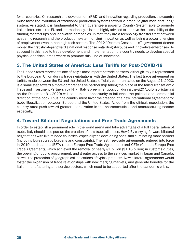for all countries. On research and development (R&D) and innovation regarding production, the country must favor the evolution of traditional production systems toward a broad "digital manufacturing" system. As stated, it is fundamental to then guarantee a powerful Country System able to promote Italian interests in the EU and internationally. It is then highly advised to improve the accessibility of the funding for start-ups and innovative companies. In fact, they are a technology transfer front between academic research and the production system, driving innovation as well as being a powerful engine of employment even in non-high-tech sectors. The 2012 "Decreto Crescita 'bis'" government decree moved the first shy steps toward a national response regarding start-ups and innovative enterprises. To succeed in this race to trade development and implementation the country needs to develop special physical and fiscal areas where to promote this kind of innovation.

#### 3. The United States of America: Less Tariffs for Post-COVID-19

The United States represents one of Italy's most important trade partners, although Italy is represented by the European Union during trade negotiations with the United States. The last trade agreement on tariffs, made between the EU and the United States, officially communicated on the August 21, 2020, is a small step toward a more-comprehensive partnership taking the place of the failed Transatlantic Trade and Investment Partnership (T-TIP). Italy's preeminent position during the G20 Abu Dhabi (starting on the December 31, 2020) will be a unique opportunity to influence the political and commercial direction of the body. Thus, the country must favor the creation of a new international agreement for trade liberalization between Europe and the United States. Aside from the difficult negotiation, the country must push toward greater liberalization in the pharmaceutical and manufacturing sectors especially.

#### 4. Toward Bilateral Negotiations and Free Trade Agreements

In order to establish a prominent role in the world arena and take advantage of a full liberalization of trade, Italy should also pursue the creation of new trade alliances. How? By carrying forward bilateral negotiations with like-minded countries, especially the developing ones, and eliminating trade barriers (including bureaucratic burdens and constraints). The last free-trade agreements entered into force in 2019, such as the JEFTA (Japan-Europe Free Trade Agreement) and CETA (Canada-Europe Free Trade Agreement), which achieved the removal of nearly €1 billion (\$1.16 billion) in customs duties, the opening of public procurement, and greater access to the services market in Japan and Canada, as well the protection of geographical indications of typical products. New bilateral agreements would foster the expansion of trade relationships with new merging markets, and generate benefits for the Italian manufacturing and service sectors, which need to be supported after the pandemic crisis.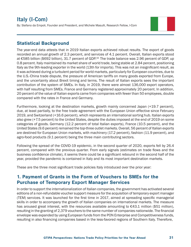# **Italy (I-Com)**

By: Stefano da Empoli, Founder and President, and Michele Masulli, Research Fellow, I-Com

#### Statistical Background

The year-end data attests that in 2019 Italian exports achieved robust results. The export of goods recorded an annual growth of 2.3 percent, and services of 4.1 percent. Overall, Italian exports stood at €585 billion (\$692 billion), 31.7 percent of GDP.18. The trade balance was 2.96 percent of GDP, up 0.8 percent. Italy maintained its market share of world trade, being stable at 2.84 percent, positioning Italy as the 9th-leading exporter in the world (13th for imports). This was not an insignificant result, as it was achieved during a turbulent period for world markets, particularly for European countries, due to the U.S.-China trade dispute, the pressure of American tariffs on many goods exported from Europe, and the uncertainty about Brexit timing and terms. The result of Italian exports sees the important contribution of the system of SMEs. In Italy, in 2019, there were almost 136,000 export operators, with half resulting from SMEs. France and Germany registered approximately 20 percent. In addition, 20 percent of the value of Italian exports came from companies with fewer than 50 employees, double compared with the rates in France and Germany.

Furthermore, looking at the destination markets, growth mainly concerned Japan (+19.7 percent), due, at least partially, to the free trade agreement with the European Union effective since February 2019, and Switzerland (+16.6 percent), which represents an international sorting hub. Italian exports also grew (+7.5 percent) to the United States, despite the duties imposed at the end of 2019 on some categories of goods. Germany (12.2 percent of total Italian exports), France (10.5 percent), and the United States (9.6 percent) remained the top-three outlet markets. Overall, 56 percent of Italian exports are destined for European Union markets, with machinery (17.2 percent), fashion (11.9 percent), and agro-food products (9.1 percent) being the three main contributing sectors.

Following the spread of the COVID-19 epidemic, in the second quarter of 2020, exports fell by 26.4 percent, compared with the previous quarter. From early signals (estimates on trade flows and the business confidence climate), it seems there could be a significant rebound in the second half of the year, provided the pandemic is contained in Italy and its most important destination markets.

These are the three most significant trade policies Italy introduced over the prior year:

#### 1. Payment of Grants in the Form of Vouchers to SMEs for the Purchase of Temporary Export Manager Services

In order to support the internationalization of Italian companies, the government has activated several editions of a non-refundable voucher support measure for the acquisition of temporary export manager (TEM) services. It was launched for the first time in 2017, aimed at spreading specific managerial skills in order to accompany the growth of Italian companies on international markets. The measure has aroused great interest, with the resources available amounting to  $\epsilon$ 43.1 million (\$51 million), resulting in the granting of 2,379 vouchers to the same number of companies nationwide. The financial envelope was expanded by using European funds from the PON Enterprise and Competitiveness funds, resulting in also financing companies based in the less-favored regions of Southern Italy. Therefore,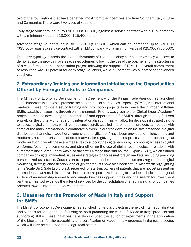two of the four regions that have benefited most from the incentives are from Southern Italy (Puglia and Campania). There were two types of vouchers:

Early-stage vouchers, equal to €10,000 (\$11,800) against a service contract with a TEM company with a minimum value of €13,000 (\$15,400); and

Advanced-stage vouchers, equal to €15,000 (\$17,800), which can be increased up to €30,000 (\$35,500), against a service contract with a TEM company with a minimum value of €25,000 (\$30,000).

The latter typology rewards the real performance of the beneficiary companies as they will have to demonstrate the growth in overseas sales volumes following the use of the voucher and the structuring of a valid foreign market penetration project following the support of TEM. The overall commitment of resources was 30 percent for early-stage vouchers, while 70 percent was allocated for advanced vouchers.

#### 2. Extraordinary Training and Information Initiatives on the Opportunities Offered by Foreign Markets to Companies

The Ministry of Economic Development, in agreement with the Italian Trade Agency, has launched some important initiatives to promote the penetration of companies, especially SMEs, into international markets. These include a set of training and promotion projects to increase the number of Italian SMEs capable of exporting through online channels. Priority was given to the "Digital Export Academy" project, aimed at developing the potential of and opportunities for SMEs, through training focused entirely on the digital world regarding internationalization. This will allow for developing strategic skills to access digital channels, which can be successfully applied in promotional projects carried out with some of the main international e-commerce players, in order to develop an incisive presence in digital distribution channels. In addition, "vouchers for digitization" have been provided for micro, small, and medium-sized enterprises, to adopt initiatives for digitizing business processes and technological modernization. Overall, these are measures to support the digital economy, promoting access to digital platforms, fostering e-commerce, and strengthening the use of digital technologies in relations with customers and clients. There was also the first 14-stage itinerant course (Export 360°), which trained companies on digital marketing issues and strategies for accessing foreign markets, including providing personalized assistance. Courses on transport, international contracts, customs regulations, digital marketing strategy, classification, and origin of products have also been set up. Also worth highlighting is the Scale Up & Sale Lab project, reserved for start-up owners of patents that are not yet present on international markets. This measure includes both specialized training to develop technical-managerial skills and an internship abroad to encourage business opportunities and the search for investment partners. This tool expands the offer of services for the consolidation of enabling skills for companies oriented toward international development.

#### 3. Measures for the Promotion of Made in Italy and Support for SMEs

The Ministry of Economic Development has launched numerous projects in the field of internationalization and support for foreign trade, focusing on both promoting the world of "Made in Italy" products and supporting SMEs. These initiatives have also included the launch of experiments in the application of the blockchain for the traceability and certification of Made in Italy products in the textile sector, which will later be extended to the agri-food sector.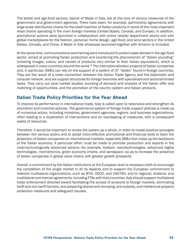The textile and agri-food sectors, typical of Made in Italy, are at the core of various measures of the government and government agencies. There have been, for example, partnership agreements with large-scale distribution chains for the shelf insertion of Italian products in some of the most-important retail chains operating in the main foreign markets (United States, Canada, and Europe). In addition, promotional actions were launched in collaboration with online retailer department stores and with global marketplaces for the fashion, personal, home design, agri-food, and wine sectors in the United States, Canada, and China. A Made in Italy showcase launched together with Amazon is included.

At the same time, communications and training were introduced to protect sales abroad in the agri-food sector, aimed at promoting Italian production and countering the phenomenon of "Italian sounding" (creating images, colors, and names of products very similar to their Italian equivalent), which is widespread in many countries around the world.<sup>19</sup> The internationalization projects of Italian companies and, in particular, SMEs can rely on the support of a system of 37 "desks" found in foreign countries. They are the result of a close connection between the Italian Trade Agency and the diplomatic and consular network, and are support structures for foreign branches with specialized and sectorial limited tasks. They carry out local market studies, scouting of demand and analysis of the Italian offer and matching of opportunities, and the promotion of the country system and Italian products.

#### Italian Trade Policy Priorities for the Year Ahead

To improve its performance in international trade, Italy is called upon to rationalize and strengthen its promotion and incentive policies. The governance system of foreign trade support policies is made up of numerous actors, including ministries, government agencies, regions, and business organizations, often leading to a duplication of interventions and an overlapping of measures, with a consequent waste of resources.

Therefore, it would be important to review the system as a whole, in order to create positive synergies between the various actors and to adopt more-effective promotional and financial tools to back the projection of Italian companies on international markets, especially SMEs that make up the backbone of the Italian economy. A particular effort must be made to promote production and exports in the most-technologically advanced sectors—for example, biotech, nanotechnologies, advanced digital technologies, mechatronics, green economy chains, and aerospace—so as to increase the presence of Italian companies in global value chains with greater growth prospects.

Overall, a commitment by the Italian institutions at the European level is necessary both to encourage the completion of the single market in all its aspects and to support the European commitment to relevant multilateral organizations, such as WTO, OECD, and UNCTAD, and to regional, bilateral, and multilateral commercial agreements, including FTAs with third countries. Italy should support multilateral trade enforcement directed toward facilitating the access of products to foreign markets, eliminating tariff and non-tariff barriers, and preparing shared anti-dumping, anti-subsidy, and intellectual property protection measures and safeguard clauses.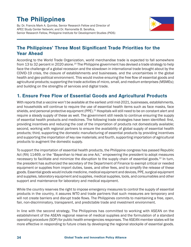# The Philippines

By: Dr. Francis Mark A. Quimba, Senior Research Fellow and Director of APEC Study Center Network; and Dr. Ramonette B. Serafica, Senior Research Fellow, Philippine Institute for Development Studies (PIDS)



#### The Philippines' Three Most Significant Trade Priorities for the Year Ahead

According to the World Trade Organization, world merchandise trade is expected to fall somewhere from 13 to 32 percent in 2020 alone.<sup>20</sup> The Philippine government has devised a trade strategy to help face the challenge of a global recession and the slowdown in international trade brought about by the COVID-19 crisis, the closure of establishments and businesses. and the uncertainties in the global health and geo-political environment. This would involve ensuring the free flow of essential goods and agricultural products; supporting the trade activities of micro, small, and medium enterprises (MSMEs); and building on the strengths of services and digital trade.

#### 1. Ensure Free Flow of Essential Goods and Agricultural Products

With reports that a vaccine won't be available at the earliest until mid-2021, businesses, establishments, and households will continue to require the use of essential health items such as face masks, face shields, and personal protective equipment (PPE).<sup>21</sup> Hospitals will still need to be on constant alert and require a steady supply of these as well. The government still needs to continue ensuring the supply of essential health products and medicines. The following trade strategies have been identified: first, providing incentives and reducing the cost of the importation of products not domestically available; second, working with regional partners to ensure the availability of global supply of essential health products; third, supporting the domestic manufacturing of essential products by providing incentives and supporting the importation of key raw materials; and fourth, supporting importation of agricultural products to augment the domestic supply.

To support the importation of essential health products, the Philippine congress has passed Republic Act (RA) 11469, or the "Bayanihan to Heal as one Act," empowering the president to adopt measures necessary to facilitate and minimize the disruption to the supply chain of essential goods.<sup>22</sup> In turn, the president has authorized the secretary of the Department of Finance to exempt critical or needed equipment or supplies from import duties, taxes, and other fees, and to simplify the release of these goods. Essential goods would include medicine, medical equipment and devices, PPE, surgical equipment and supplies, laboratory equipment and supplies, medical supplies, tools, and consumables and other support and maintenance for laboratory and medical equipment.

While the country reserves the right to impose emergency measures to control the supply of essential products in the country, it assures WTO and trade partners that such measures are temporary and will not create barriers and disrupt trade flows. The Philippines commits to maintaining a free, open, fair, non-discriminatory, transparent, and predictable trade and investment environment.

In line with the second strategy, The Philippines has committed to working with ASEAN on the establishment of the ASEAN regional reserve of medical supplies and the formulation of a standard operating procedure (SOP) for public health emergencies responses. The ASEAN member states will be more effective in responding to future crises by developing the regional stockpile of essential goods.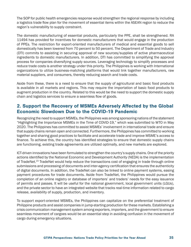The SOP for public health emergencies response would strengthen the regional response by including a logistics trade flow plan for the movement of essential items within the ASEAN region to reduce the region's vulnerability to supply constraint.

The domestic manufacturing of essential products, particularly the PPE, shall be strengthened. RA 11494 has provided for incentives for domestic manufacturers that would engage in the production of PPEs. The restriction for export-oriented manufacturers of medical and essential goods to sell domestically has been lowered from 70 percent to 50 percent. The Department of Trade and Industry (DTI) commits to assisting in securing approval of new sources/supplies of active pharmaceutical ingredients to domestic manufacturers. In addition, DTI has committed to simplifying the approval process for companies diversifying supply sources. Leveraging technology to simplify processes and reduce trade costs is another strategy under this priority. The Philippines is working with International organizations to utilize business-matching platforms that would link together manufacturers, raw material suppliers, and consumers, thereby reducing search and trade costs.

Aside from these, there is a need to ensure that the supply of agricultural and basic food products is available in all markets and regions. This may require the importation of basic food products to augment production in the country. Related to this would be the need to support the domestic supply chain and logistics services to ensure a seamless flow of goods.

#### 2. Support the Recovery of MSMEs Adversely Affected by the Global Economic Slowdown Due to the COVID-19 Pandemic

Recognizing the need to support MSMEs, the Philippines was among sponsoring nations of the statement "Highlighting the Importance MSMEs in the Time of COVID-19," which was submitted to WTO in May 2020. The Philippines has committed to assist MSMEs' involvement in international trade and ensure that supply chains remain open and connected. Furthermore, the Philippines has committed to working together and sharing good practices to facilitate and accelerate trade and improve MSME's access to finance. To achieve this, the country has identified strategies to ensure that domestic supply chains are functioning, existing trade agreements are utilized optimally, and new markets are explored.

ICT-driven innovations have been formulated to strengthen the country's supply chains. One of the priority actions identified by the National Economic and Development Authority (NEDA) is the implementation of TradeNet.<sup>23</sup> TradeNet would help reduce the transactions cost of engaging in trade through online submissions and processing of documents and inter-agency certification that ensures the authenticity of digital documents. In addition, the TradeNet can also be linked to online payment systems, easing payment procedures for trade documents. Aside from TradeNet, the Philippines would pursue the completion of an online registry or database of importers' and traders' needs for the easy issuance of permits and passes. It will be useful for the national government, local government units (LGUs), and the private sector to have an integrated website that tracks real-time information related to cargo release, availability of supply, production, and inventory.

To support export-oriented MSMEs, the Philippines can capitalize on the preferential treatment of Philippine products and assist companies in jump-starting production for these markets. Establishing a crisis communication management system among exporters, importers, and the government to ensure seamless movement of cargoes would be an essential step in avoiding confusion in the movement of cargo during emergency situations.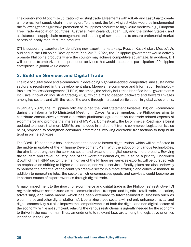The country should optimize utilization of existing trade agreements with ASEAN and East Asia to create a more-resilient supply chain in the region. To this end, the following activities would be implemented the following year: aggressive promotion of Philippines products to high-value markets (e.g., European Free Trade Association countries, Australia, New Zealand, Japan, EU, and the United States), and assistance in supply chain management and sourcing of raw materials to ensure preferential market access of locally manufactured products.

DTI is supporting exporters by identifying new export markets (e.g., Russia, Kazakhstan, Mexico). As outlined in the Philippine Development Plan 2017–2022, the Philippine government would actively promote Philippine products where the country may achieve competitive advantage. In addition, DTI will continue to embark on trade promotion activities that would deepen the participation of Philippine enterprises in global value chains.

#### 3. Build on Services and Digital Trade

The role of digital trade and e-commerce in developing high-value-added, competitive, and sustainable sectors is recognized in the development plan. Moreover, e-commerce and Information Technology-Business Process Management (IT-BPM) are among the priority industries identified in the government's Inclusive Innovation Industrial Strategy (i3s), which aims to deepen backward and forward linkages among key sectors and with the rest of the world through increased participation in global value chains.

In January 2020, the Philippines officially joined the Joint Statement Initiative (JSI) on E-commerce during the Informal WTO Ministerial Meeting in Davos. As a JSI member, the Philippines aims to contribute constructively toward a possible plurilateral agreement on the trade-related aspects of e-commerce and promote the interests of MSMEs. Domestically, the E-commerce Roadmap is being updated to ensure that more MSMEs are included in and benefit from e-commerce. Legislation is also being proposed to strengthen consumer protections involving electronic transactions to help build trust in online activities.

The COVID-19 pandemic has underscored the need to hasten digitalization, which will be reflected in the mid-term update of the Philippine Development Plan. With the adoption of various technologies, the aim is to strengthen the services sector and expand the digital economy more broadly. Reviving the tourism and travel industry, one of the worst-hit industries, will also be a priority. Continued growth of the IT-BPM sector, the main driver of the Philippines' services exports, will be pursued with an emphasis on shifting to higher-value-added, non-voice services. Finally, plans are also underway to harness the potential of the country's creative sector in a more strategic and cohesive manner. In addition to generating jobs, the sector, which encompasses goods and services, could become an important source of export revenues through digital trade.

A major impediment to the growth of e-commerce and digital trade is the Philippines' restrictive FDI regime in relevant sectors such as telecommunications, transport and logistics, retail trade, education, advertising, and mass media (which has been extended to Internet-based businesses such as e-commerce and other digital platforms). Liberalizing these sectors will not only enhance physical and digital connectivity but also improve the competitiveness of both the digital and non-digital sectors of the economy. While not sufficient, relaxing the various restrictions is urgently needed for the economy to thrive in the new normal. Thus, amendments to relevant laws are among the legislative priorities identified in the Plan.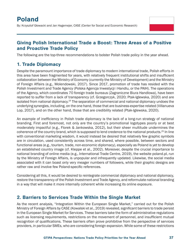By: Krzysztof Głowacki and Jan Hagemejer, CASE (Center for Social and Economic Research)

#### Giving Polish International Trade a Boost: Three Areas of a Positive and Proactive Trade Policy

The following are the top-three recommendations to bolster Polish trade policy in the year ahead.

#### 1. Trade Diplomacy

Despite the paramount importance of trade diplomacy to modern international trade, Polish efforts in this area have been fragmented for years, with relatively frequent institutional shifts and insufficient collaboration between the Ministry of Economy (currently the Ministry of Development) and the Ministry of Foreign Affairs (e.g., Molendowski, 2017). Since 2017, promotion of trade has resided with the Polish Investment and Trade Agency (Polska Agencja Inwestycji i Handlu, or the PAIH). The operations of the Agency, which coordinates 70 foreign trade bureaus (Zagraniczne Biura Handlowa), have been reported to suffer from a lack of transparency (cf. Grzegorczyk, 2020; Ptak-Iglewska, 2020) and are isolated from national diplomacy.<sup>24</sup> The separation of commercial and national diplomacy undoes the underlying synergies, including, on the one hand, those that are business-expertise related (Villanueva Lop, 2017), and on the other hand, those that are credibility related (Ptak-Iglewska, 2020).

An example of inefficiency in Polish trade diplomacy is the lack of a long‑run strategy of national branding. First and foremost, not only are the country's promotional logotypes poorly or at best moderately impactful (e.g., Florek & Jankowska, 2012), but their sheer multitude undermines the coherence of the country brand, which is supposed to lend credence to the national products.25 In line with conventional marketing wisdom, it would instead be desired that relatively few graphic symbols are in circulation, used consistently across time, and shared, where possible, between sectors and functional areas (e.g., tourism, trade, non-economic diplomacy), especially as Poland is yet to develop an established country image (cf. Kleppe et al., 2002). Moreover, despite the crucial importance to national branding of online media (e.g., International Trade Centre, 2019), the website poland.pl, run by the Ministry of Foreign Affairs, is unpopular and infrequently updated. Likewise, the social media associated with it can boast only very meager numbers of followers, while their graphic designs are rather raw and involve few Poland-specific references.

Considering all this, it would be desired to reintegrate commercial diplomacy and national diplomacy, restore the transparency of the Polish Investment and Trade Agency, and reformulate national branding in a way that will make it more internally coherent while increasing its online exposure.

#### 2. Barriers to Services Trade Within the Single Market

As the recent analysis, "Integration Within the European Single Market," carried out for the Polish Ministry of Foreign Affairs by CASE (Kowalski et al., 2019) revealed, significant barriers to trade persist in the European Single Market for Services. These barriers take the form of administrative regulations such as licensing requirements, restrictions on the movement of personnel, and insufficient mutual recognition of qualifications. These barriers often prove prohibitive from the perspective of services providers, in particular SMEs, who are considering foreign expansion. While some of these restrictions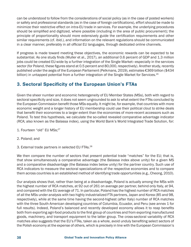can be understood to follow from the considerations of social policy (as in the case of posted workers) or safety and professional standards (as in the case of foreign certifications), effort should be made to minimize their restrictive effect on intra-EU trade in services. For example, the underlying procedures should be simplified and digitized, where possible (including in the area of public procurement); the principle of proportionality should more extensively guide the certification requirements and other similar requirements (cf. ibid.), and information on the relevant regulations should be communicated in a clear manner, preferably in all official EU languages, through dedicated online channels.

If progress is made toward meeting these objectives, the economic rewards can be expected to be substantial. As one study finds (Muller et al., 2017), an additional 0.6 percent of GDP and 1.3 million jobs could be created EU-wide by a further integration of the Single Market—especially in the services sector (for Poland, these figures stand at 0.5 percent and 80,000, respectively). Another study, recently published under the aegis of the European Parliament (Pelkmans, 2019), estimates €369 billion (\$434 billion) in untapped potential from a further integration of the Single Market for Services.<sup>26</sup>

#### 3. Sectoral Specificity of the European Union's FTAs

Given the sheer number and economic heterogeneity of EU Member States (MSs), both with regard to sectoral specificity and size, it does not seem ungrounded to ask to what extent the FTAs concluded by the European Commission benefit those MSs equally. It might be, for example, that countries with more economic weight and a longer history of EU membership could use their political clout to strike deals that benefit their economies to a larger extent than the economies of more-recent accessors such as Poland. To test this hypothesis, we calculate the so-called revealed comparative advantage indicator (RCA; also known as the Balassa index), using the World Bank's World Integrated Trade Solution, for:

- 1. Fourteen "old" EU MSs;<sup>27</sup>
- 2. Poland; and
- 3. External trade partners in selected EU FTAs.28

We then compare the number of sectors that present potential trade "matches" for the EU; that is, that show simultaneously a comparative advantage (the Balassa index above unity) for a given MS and a comparative disadvantage (the Balassa index below unity) for the partner country. Such use of RCA indicators to measure the sectoral specializations of the respective economies and to compare them across countries is an established method of identifying trade opportunities (e.g., Cheong, 2010).

Our analysis shows that, rather than being at a disadvantage, Poland is actually among the MSs with the highest number of RCA matches, at 92 out of 261 on average per partner, behind only Italy, at 94, and compared with the EU average of 71. In particular, Poland has the highest number of RCA matches of all the MSs under analysis with two highly industrialized FTA partners, Japan and Korea (85 and 98, respectively), while at the same time having the second-highest (after Italy) number of RCA matches with the three South-American developing countries of Columbia, Ecuador, and Peru (see annex 1 for full results). Indeed, Poland's balanced and recently developed economy allows it to reap benefits both from exporting agri‑food products to the first group of countries and from exporting manufactured goods, machinery, and transport equipment to the latter group. The cross-sectoral variability of RCA matches also suggests that the EU's FTAs, taken as a whole, avoid unduly benefiting select sectors of the Polish economy at the expense of others, which is precisely in line with the European Commission's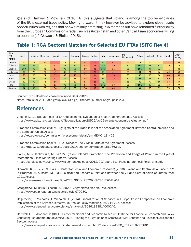goals (cf. Hartwell & Movchan, 2018). All this suggests that Poland is among the top beneficiaries of the EU's external trade policy. Moving forward, it may however be advised to explore closer trade opportunities with regions that show similarly promising RCA matches but have remained further away from the European Commission's radar, such as Kazakhstan and other Central Asian economies willing to open up (cf. Głowacki & Bieliei, 2018).

| EU MS/<br><b>FTA</b><br>Partner | Austria | Belgium | Denmark | Finland | France          | Germany | Greece | Ireland   | Italy | Luxembourg | the<br>Netherlands | Poland | Portugal | Spain | Sweden | EU14<br>average |
|---------------------------------|---------|---------|---------|---------|-----------------|---------|--------|-----------|-------|------------|--------------------|--------|----------|-------|--------|-----------------|
| Canada                          | 76      | 74      | 65      | 33      | 77              | 74      | 47     | 26        | 94    | 42         | 66                 | 79     | 76       | 75    | 51     | 63              |
| Colombia                        | 97      | 92      | 79      | 52      | 86              | 87      | 54     | 33        | 102   | 50         | 82                 | 101    | 88       | 87    | 70     | 76              |
| Ecuador                         | 100     | 96      | 81      | 52      | 92              | 96      | 59     | 34        | 111   | 51         | 85                 | 104    | 94       | 92    | 71     | 80              |
| Indonesia                       | 89      | 78      | 71      | 47      | 85              | 86      | 49     | 37<br>z i | 95    | 41         | 69                 | 91     | 71       | 76    | 62     | 68              |
| Japan                           | 59      | 80      | 74      | 35      | 65              | 48      | 59     | 31        | 73    | 30         | 78                 | 85     | 80       | 76    | 48     | 60              |
| Korea                           | 85      | 83      | 84      | 42      | 89              | 73      | 54     | 33        | 87    | 36         | 82                 | 98     | 85       | 82    | 60     | 70              |
| Mexico                          | 80      | 90      | 74      | 50      | 77              | 69      | 57     | 28        | 90    | 45         | 83                 | 82     | 79       | 86    | 58     | 69              |
| Peru                            | 99      | 87      | 80      | 52      | 90              | 96      | 56     | 33        | 104   | 53         | 81                 | 101    | 89       | 82    | 69     | 77              |
| Vietnam                         | 94      | 96      | 73      | 54      | 90 <sup>°</sup> | 89      | 54     | 33        | 88    | 43         | 86                 | 91     | 68       | 83    | 73     | 73              |

#### Table 1: RCA Sectoral Matches for Selected EU FTAs (SITC Rev 4)

Source: Own calculations based on World Bank (2020). Note: Data is for 2017, at a group level (3-digit). The total number of groups is 261.

## **References**

Cheong, D. (2010). Methods for Ex Ante Economic Evaluation of Free Trade Agreements. Access: https://www.adb.org/sites/default/files/publication/28526/wp52-ex-ante-economic-evaluation.pdf.

European Commission (2017). Highlights of the Trade Pillar of the Association Agreement Between Central America and the European Union. Access:

https://ec.europa.eu/commission/presscorner/detail/en/MEMO\_11\_429.

European Commission (2017). CETA Overview. The 7 Main Parts of the Agreement. Access: https://trade.ec.europa.eu/doclib/docs/2017/september/tradoc\_156056.pdf.

Florek, M. & Jankowska, M. (2012). Eye on Poland's Promotion. The Promotion and Image of Poland in the Eyes of International Place Marketing Experts. Access:

http://bestplaceinstytut.org/www/wp-content/uploads/2012/02/raport-Best-Place-nt.-promocji-Polski-ang.pdf.

Głowacki, K. & Bieliei, S. (CASE - Center for Social and Economic Research) (2018). Poland and Central Asia Since 1992 in Krasznai, M. & Rosta, M. (Ed.). Political and Economic Relations Between the V4 and Central Asian Countries After 1991. Access:

https://case-research.eu/index/?id=d220b363fa173729b6b2851776d4e6db.

Grzegorczyk, M. (Puls Biznesu) (7.1.2020). Zagraniczna sieć się rwie. Access: https://www.pb.pl/zagraniczna-siec-sie-rwie-979280.

Hagemejer, J., Michalek, J. Michałek, T. (2014). Liberalization of Services in Europe: Polish Perspective on Economic Implications of the Services Directive. Journal of Policy Modeling, 36, 211-225. Access: https://www.sciencedirect.com/science/article/pii/S0161893814000246.

Hartwell, C. & Movchan, V. (CASE - Center for Social and Economic Research, Institute for Economic Research and Policy Consulting, Bournemouth University) (2018). Finding the Right Balance Across EU FTAs: Benefits and Risks for EU Economic Sectors. Access:

https://www.europarl.europa.eu/thinktank/en/document.html?reference=EXPO\_STU(2018)603881.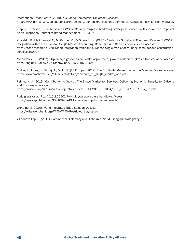International Trade Centre (2019). A Guide to Commercial Diplomacy. Access: http://www.intracen.org/uploadedFiles/intracenorg/Content/Publications/Commercial%20Diplomacy\_English\_WEB.pdf.

Kleppe, I., Iversen, N., & Stensaker, I. (2002) Country Images in Marketing Strategies: Conceptual Issues and an Empirical Asian Illustration. Journal of Brand Management, 10, 61-74.

Kowalski, P., Malinowska, A., McKenzie, M., & Głowacki, K. (CASE - Center for Social and Economic Research) (2019). Integration Within the European Single Market: Accounting, Computer, and Construction Services. Access: https://case-research.eu/en/report-integration-within-the-european-single-market-accounting-computer-and-constructionservices-100997.

Molendowski, E. (2017). Dyplomacja gospodarcza Polski: organizacja, główne zadania w okresie transformacji. Access: https://bg.uek.krakow.pl/e-zasoby/inne/2168319723.pdf.

Muller, P., Julius, J., Natraj, A., & Ho, K. (LE Europe) (2017). The EU Single Market: Impact on Member States. Access: http://www.amchameu.eu/sites/default/files/amcham\_eu\_single\_market\_web.pdf.

Pelkmans, J. (2019). Contribution to Growth: The Single Market for Services. Delivering Economic Benefits for Citizens and Businesses. Access:

https://www.europarl.europa.eu/RegData/etudes/STUD/2019/631054/IPOL\_STU(2019)631054\_EN.pdf.

Ptak-Iglewska, A. (Rp.pl) (16.2.2020). PAIH ukrywa swoje biura handlowe. Access: https://www.rp.pl/Handel/302169952-PAIH-ukrywa-swoje-biura-handlowe.html.

World Bank (2020). World Integrated Trade Solution. Access: https://wits.worldbank.org/WITS/WITS/Restricted/Login.aspx.

Villanueva Lop, G. (2017). Commercial Diplomacy in a Globalized World. Przegląd Strategiczny, 10.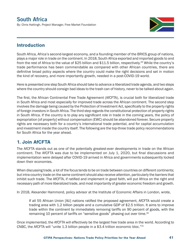#### **South Africa**  By: Chris Hattingh, Project Manager, Free Market Foundation

#### Introduction

South Africa, Africa's second-largest economy, and a founding member of the BRICS group of nations, plays a major role in trade on the continent. In 2018, South Africa exported and imported goods to and from the rest of Africa to the value of \$25 billion and \$11.5 billion, respectively.<sup>29</sup> While the country's trade performance has been commendable as compared with other African countries, there are definitive broad policy aspects where the country could make the right decisions and set in motion the kind of recovery, and more importantly growth, needed in a post-COVID-19 world.

Here is presented one step South Africa should take to advance a liberalized trade agenda, and two steps where the country should consign bad ideas to the trash can of history, never to be talked about again.

The first, the African Continental Free Trade Agreement (AfCFTA), is crucial both for liberalized trade in South Africa and most especially for improved trade across the African continent. The second step involves the damage being caused by the Protection of Investment Act, specifically to the property rights of foreign investors in South Africa. The third step regards the constitutional protection of property rights in South Africa. If the country is to play any significant role in trade in the coming years, the policy of expropriation [of property] without compensation (EWC) should be abandoned forever. Secure property rights are necessary both for a country's international trade potential, and for capital accumulation and investment inside the country itself. The following are the top-three trade policy recommendations for South Africa for the year ahead.

#### 1. Join AfCFTA

The AfCFTA stands out as one of the potentially greatest-ever developments in trade on the African continent. The AfCFTA was due to be implemented on July 1, 2020, but final discussions and implementation were delayed after COVID-19 arrived in Africa and governments subsequently locked down their economies.

When discussing trade, a lot of the focus tends to be on trade between countries on different continents; but intra-country trade on the same continent should also receive attention, particularly the barriers that inhibit such trade. The AfCFTA, if ratified and implement in good faith, will put Africa on the right and necessary path of more liberalized trade, and most importantly of greater economic freedom and growth.

In 2018, Alexander Hammond, policy advisor at the Institute of Economic Affairs in London, wrote,

If all 55 African Union [AU] nations ratified the proposed agreement, AfCFTA would create a trading area with 1.2 billion people and a cumulative GDP of \$2.5 trillion. It aims to improve trade within the continent by immediately removing tariffs on 90 percent of goods, with the remaining 10 percent of tariffs on "sensitive goods" phasing out over time.<sup>30</sup>

Once implemented, the AfCFTA will effectively be the largest free trade area in the world. According to CNBC, the AfCFTA will "unite 1.3 billion people in a \$3.4 trillion economic bloc."31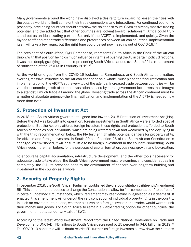Many governments around the world have displayed a desire to turn inward, to lessen their ties with the outside world and limit some of their trade connections and interactions. For continued economic prosperity, developing countries should not follow the isolationist route. Given its already massive trading potential, and the added fact that other countries are looking toward isolationism, Africa could truly stand out as an ideal trading partner. But only if the AfCFTA is implemented, and quickly. Given the myriad tariff and other trade differences and preferences between African countries, implementation itself will take a few years, but the right tone could be set now heading out of COVID-19.<sup>32</sup>

The president of South Africa, Cyril Ramaphosa, represents South Africa in the Chair of the African Union. With that position he holds much influence in terms of pushing the AU in certain policy directions. It was thus deeply gratifying that he, representing South Africa, handed over South Africa's instrument of ratification of the AfCFTA in February 2019.<sup>33</sup>

As the world emerges from the COVID-19 lockdowns, Ramaphosa, and South Africa as a nation, exerting massive influence on the African continent as a whole, must place the final ratification and implementation of the AfCFTA at the very top of the agenda. Increased trade between countries will be vital for economic growth after the devastation caused by harsh government lockdowns that brought to a standstill much trade all around the globe. Boosting trade across the African continent must be a matter of absolute urgency—the final ratification and implementation of the AfCFTA is needed now more than ever.

#### 2. Protection of Investment Act

In 2018, the South African government signed into law the 2015 Protection of Investment Act (PIA). Before the Act was brought into operation, foreign investments in South Africa were afforded special protections. But the Act only affords foreign investors those rights and protections afforded to South African companies and individuals, which are being watered down and weakened by the day. Tying in with the third recommendation below, the PIA further highlights potential dangers for property rights, for citizens and foreign investors, in South Africa. If section 25 of the South African Constitution is changed, as envisioned, it will ensure little to no foreign investment in the country—something South Africa needs more than before, for the purposes of capital formation, business growth, and job creation.

To encourage capital accumulation, infrastructure development, and the other tools necessary for adequate trade to take place, the South African government must re-examine, and consider appealing completely, the PIA. Its presence adds to the environment of concern over long-term building and investment in the country as a whole.

#### 3. Security of Property Rights

In December 2019, the South African Parliament published the draft Constitution Eighteenth Amendment Bill. This amendment proposes to change the Constitution to allow for "nil compensation" to be "paid" in certain undefined circumstances, which Parliament may itself define in legislation as it deems fit. If enacted, this amendment will undercut the very conception of individual property rights in the country. In such an environment, no one, whether a citizen or a foreign investor and trader, would want to risk their money and goods. For South Africa to remain a viable trading option for other countries, the government must abandon any talk of EWC.

According to the latest World Investment Report from the United Nations Conference on Trade and Development (UNCTAD), FDI inflows to South Africa decreased by 15 percent to \$4.6 billion in 2019.<sup>34</sup> The COVID-19 pandemic will no doubt restrict FDI further, as foreign investors narrow down their options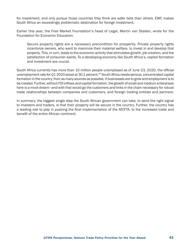for investment, and only pursue those countries they think are safer bets than others. EWC makes South Africa an exceedingly problematic destination for foreign investment.

Earlier this year, the Free Market Foundation's head of Legal, Martin van Staden, wrote for the Foundation for Economic Education:

Secure property rights are a necessary precondition for prosperity. Private property rights incentivize owners, who want to maximize their material welfare, to invest in and develop that property. This, in turn, leads to the economic activity that stimulates growth, job creation, and the satisfaction of consumer wants. To a developing economy like South Africa's, capital formation and investment are crucial.

South Africa currently has more than 10 million people unemployed as of June 23, 2020, the official unemployment rate for Q1 2020 stood at 30.1 percent.<sup>35</sup> South Africa needs serious, concentrated capital formation in the country, from as many sources as possible, if businesses are to grow and employment is to be created. Further, without FDI inflows and capital formation, the growth of small and medium enterprises here is a moot dream—and with that would go the customers and links in the chain necessary for robust trade relationships between companies and customers, and foreign trading entities and partners.

In summary, the biggest single step the South African government can take, to send the right signal to investors and traders, is that their property will be secure in the country. Further, the country has a leading role to play in pushing the final implementation of the AfCFTA, to the increased trade and benefit of the entire African continent.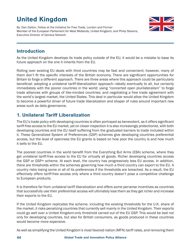# United Kingdom

By: Dan Dalton, Fellow at the Initiative for Free Trade, London and Former Member of the European Parliament for West Midlands, United Kingdom; and Philip Stevens, Executive Director of Geneva Network

#### Introduction

As the United Kingdom develops its trade policy outside of the EU, it would be a mistake to base its future approach on the one it inherits from the EU.

Rolling over existing EU deals with third countries may be fast and convenient; however, many of them don't fit the specific interests of the British economy. There are significant opportunities for Britain to forge a different approach. There are three areas where this approach could be particularly beneficial: adopting a unilateral tariff-liberalization approach—ideally eventually to all, but certainly immediately with the poorer countries in the world; using "concerted open plurilateralism" to forge trade alliances with groups of like-minded countries; and negotiating a free trade agreement with the world's largest market, the United States. This deal in particular would allow the United Kingdom to become a powerful driver of future trade liberalization and shaper of rules around important new areas such as data governance.

#### 1. Unilateral Tariff Liberalization

The EU's trade policy with developing countries is often portrayed as benevolent, as it offers significant tariff-free access to the EU market, yet on closer inspection it is also increasingly protectionist, with both developing countries and the EU itself suffering from the graduated barriers to trade included within it. These Generalized System of Preferences (GSP) schemes give developing countries preferential access, but the level of openness the EU grants is based on how poor the country is and how much it sells to the EU.

The poorest countries in the world benefit from the Everything But Arms (EBA) scheme, where they get unilateral tariff-free access to the EU for virtually all goods. Richer developing countries access the GSP or GSP+ scheme. At each level, the country has progressively less EU access. In addition, there are thresholds within the schemes governing how much a third country can export to the EU. A country risks losing some or all of its preferences if the thresholds are breached. As a result, the EU effectively offers tariff-free access only where a third country doesn't pose a competitive challenge to European products.

It is therefore far from unilateral tariff liberalization and offers some perverse incentives as countries that successfully use their preferential access will ultimately lose them as they get richer and increase their exports to the EU.

If the United Kingdom replicates the scheme, including the existing thresholds for the U.K. share of the market, it risks penalizing countries that currently sell mainly in the United Kingdom. Their exports could go well over a United Kingdom-only threshold carved out of the EU GSP. This would be bad not only for developing countries, but also for British consumers, as goods produced in these countries would become more expensive.

As well as simplifying the United Kingdom's most favored nation (MFN) tariff rates, and removing them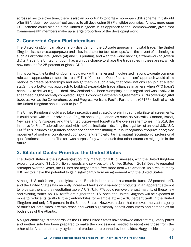across all sectors over time, there is also an opportunity to forge a more-open GSP scheme.36 It should offer EBA (duty-free, quota-free) access to all developing (GSP-eligible) countries. A new, more-open GSP scheme could also help the United Kingdom in its approach to the Commonwealth, given that Commonwealth members make up a large proportion of the developing world.

#### 2. Concerted Open Plurilateralism

The United Kingdom can also sharply diverge from the EU trade approach in digital trade. The United Kingdom is a services superpower and a key incubator for tech start-ups. With the advent of technologies such as artificial intelligence (AI) and 3D printing, and with the world lacking a framework to govern digital trade, the United Kingdom has a unique chance to shape the trade rules in these areas, which now account for 25 percent of global GDP.

In this context, the United Kingdom should work with smaller and middle-sized nations to create common rules and approaches in specific areas.<sup>37</sup> This "Concerted Open Plurilateralism" approach would allow nations to create partnerships and design them in such a way that other nations can join at a later stage. It is a bottom-up approach to building expandable trade alliances in an era when WTO hasn't been able to deliver a global deal. New Zealand has been exemplary in this regard and was involved in spearheading the recently completed Digital Economic Partnership Agreement (DEPA) covering digital trade as well as the Comprehensive and Progressive Trans-Pacific Partnership (CPTPP)—both of which the United Kingdom should seek to join.<sup>38</sup>

The United Kingdom should also take a proactive and strategic role in initiating plurilateral agreements. It could start with other advanced, English-speaking economies such as Australia, Canada, Israel, New Zealand, Singapore, and the United States—not forgetting the overseas territories. In 2018, the Initiative for Free Trade collaborated with the Cato Institute in drafting the legal text of an ideal U.S./U.K. FTA.39 This includes a regulatory coherence chapter facilitating mutual recognition of equivalence; free movement of workers (conditioned upon job offer); removal of tariffs; mutual recognition of professional qualifications; and more. The text was purposefully written such that other countries might join in the future.

#### 3. Bilateral Deals: Prioritize the United States

The United States is the single-largest country market for U.K. businesses, with the United Kingdom exporting a total of \$121.5 billion of goods and services to the United States in 2018. Despite repeated attempts over the years, the EU has not negotiated a free trade deal with America. As a result, many U.K. sectors have the potential to gain significantly from an agreement with the United States.

Although U.S. tariffs are generally low, some British industries such as ceramics face a 28 percent tariff, and the United States has recently increased tariffs on a variety of products in an apparent attempt to force partners to the negotiating table. A U.S./U.K. FTA could remove the vast majority of these new and existing tariffs. As U.K. tariffs are higher than U.S. ones, the United Kingdom will be expected to move to reduce its tariffs further; automobiles for example attract a 10 percent tariff in the United Kingdom and only 2.5 percent in the United States. However, a deal that removes the vast majority of tariffs for both sides is within reach and would significantly benefit consumers and companies on both sides of the Atlantic.

A bigger challenge is standards, as the EU and United States have followed different regulatory paths and neither side has been prepared to make the concessions needed to recognize those from the other side. As a result, many agricultural products are banned by both sides. Haggis, chicken, many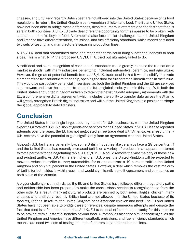cheeses, and until very recently British beef are not allowed into the United States because of its food regulations. In return, the United Kingdom bans American chicken and beef. The EU and United States have not been able to bridge these differences, despite numerous attempts and the fact that food is safe in both countries. A U.K./EU trade deal offers the opportunity for this impasse to be broken, with substantial benefits beyond food. Automobiles also face similar challenges, as the United Kingdom and America have different seatbelt, emissions, and fuel-efficiency standards, which means cars need two sets of testing, and manufacturers separate production lines.

A U.S./U.K. deal that streamlined these and other standards could bring substantial benefits to both sides. This is what T-TIP, the proposed U.S./EU FTA, tried but ultimately failed to do.

A tariff deal and some recognition of each other's standards would greatly increase the transatlantic market in goods, with many industries benefitting, including automotive, ceramics, and agriculture. However, the greatest potential benefit from a U.S./U.K. trade deal is that it would solidify the trade element of the transatlantic relationship, opening the door for further trade liberalization in the future. This would be particularly beneficial in services, as both the United Kingdom and the EU are services superpowers and have the potential to shape the future global trade system in this area. With both the United States and United Kingdom unlikely to retain their existing data adequacy agreements with the EU, a comprehensive digital agreement which includes the ability to transfer data across the Atlantic will greatly strengthen British digital industries and will put the United Kingdom in a position to shape the global approach to data transfers.

# **Conclusion**

The United States is the single-largest country market for U.K. businesses, with the United Kingdom exporting a total of \$121.5 billion of goods and services to the United States in 2018. Despite repeated attempts over the years, the EU has not negotiated a free trade deal with America. As a result, many U.K. sectors have the potential to gain significantly from an agreement with the United States.

Although U.S. tariffs are generally low, some British industries like ceramics face a 28 percent tariff and the United States has recently increased tariffs on a variety of products in an apparent attempt to force partners to the negotiating table. A U.S./U.K. FTA could remove the vast majority of these new and existing tariffs. As U.K. tariffs are higher than U.S. ones, the United Kingdom will be expected to move to reduce its tariffs further; automobiles for example attract a 10 percent tariff in the United Kingdom and only 2.5 percent in the United States. However, a deal which removes the vast majority of tariffs for both sides is within reach and would significantly benefit consumers and companies on both sides of the Atlantic.

A bigger challenge is standards, as the EU and United States have followed different regulatory paths and neither side has been prepared to make the concessions needed to recognize those from the other side. As a result, many agricultural products are banned by both sides. Haggis, chicken, many cheeses and until very recently British beef are not allowed into the United States because of its food regulations. In return, the United Kingdom bans American chicken and beef. The EU and United States have not been able to bridge these differences, despite numerous attempts and despite the fact that food is safe in both countries. A U.K./EU trade deal offers the opportunity for this impasse to be broken, with substantial benefits beyond food. Automobiles also face similar challenges, as the United Kingdom and America have different seatbelt, emissions, and fuel efficiency standards which means cars need two sets of testing and manufacturers separate production lines.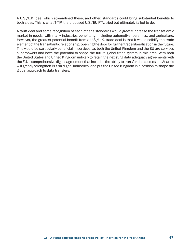A U.S./U.K. deal which streamlined these, and other, standards could bring substantial benefits to both sides. This is what T-TIP, the proposed U.S./EU FTA, tried but ultimately failed to do.

A tariff deal and some recognition of each other's standards would greatly increase the transatlantic market in goods, with many industries benefitting, including automotive, ceramics, and agriculture. However, the greatest potential benefit from a U.S./U.K. trade deal is that it would solidify the trade element of the transatlantic relationship, opening the door for further trade liberalization in the future. This would be particularly beneficial in services, as both the United Kingdom and the EU are services superpowers and have the potential to shape the future global trade system in this area. With both the United States and United Kingdom unlikely to retain their existing data adequacy agreements with the EU, a comprehensive digital agreement that includes the ability to transfer data across the Atlantic will greatly strengthen British digital industries, and put the United Kingdom in a position to shape the global approach to data transfers.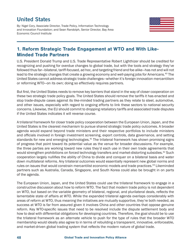# **United States**

By: Nigel Cory, Associate Director, Trade Policy, Information Technology and Innovation Foundation; and Sean Randolph, Senior Director, Bay Area Economic Council Institute



#### 1. Reform Strategic Trade Engagement at WTO and With Like-Minded Trade Partners

U.S. President Donald Trump and U.S. Trade Representative Robert Lighthizer should be credited for recognizing and pushing for overdue changes to global trade, but with the tools and strategy they've followed thus far—bilateral, tariff-focused, ad hoc, and targeting friend and foe alike—has not and will not lead to the strategic changes that create a growing economy and well-paying jobs for Americans.<sup>40</sup> The United States cannot address strategic trade challenges—whether it's foreign innovation mercantilism or reforming WTO—on its own; doing so effectively requires partners.

But first, the United States needs to remove key barriers that stand in the way of closer cooperation on these two strategic trade policy goals. The United States should remove the tariffs it has enacted and stop trade-dispute cases against its like-minded trading partners as they relate to steel, automotive, and other issues, especially with regard to ongoing efforts to link these sectors to national security concerns. Likewise, the EU should commit to dropping retaliatory tariffs and associated trade disputes if the United States indicates it will reverse course.

A trilateral framework for closer trade policy cooperation between the European Union, Japan, and the United States is the clearest mechanism to pursue shared strategic trade policy outcomes. A broader agenda would expand beyond trade ministers and their respective portfolios to include ministers and officials involved in foreign investment screening, export controls, data governance, and setting standards for new and emerging technologies.<sup>41</sup> The trilateral framework has shown promising signs of progress that point toward its potential value as the venue for broader discussions. For example, the three parties are working toward new rules they'd each use in their own trade agreements that would strengthen prohibitions on forced technology transfers and market-distorting subsidies.<sup>42</sup> Such cooperation largely nullifies the ability of China to divide and conquer on a bilateral basis and water down multilateral reforms. Any trilateral outcomes would essentially represent new global norms and rules on issues that would constrain mercantilist economic models and trade practices.<sup>43</sup> Likeminded partners such as Australia, Canada, Singapore, and South Korea could also be brought in on parts of the agenda.

The European Union, Japan, and the United States could use the trilateral framework to engage in a constructive discussion about how to reform WTO. The fact that modern trade policy is not dependent on WTO, but based on the variable geometry of bilateral, regional, and plurilateral deals, reflects the lamentable state of affairs at WTO. While the expanded trilateral agenda overlaps considerably with areas of reform at WTO, thus meaning the initiatives are mutually supportive, they're both needed, as success at WTO is far from assured given it involves China and other countries that oppose genuine reform. Key WTO-specific issues that need to be resolved include the dispute settlement body and how to deal with differential obligations for developing countries. Therefore, the goal should be to use the trilateral framework as an alternate vehicle to push for the type of rules that the broader WTO membership would ideally also agree to in terms of rebuilding a transparent, innovative, enforceable, and market-driven global trading system that reflects the modern nature of global trade.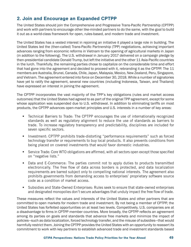#### 2. Join and Encourage an Expanded CPTPP

The United States should join the Comprehensive and Progressive Trans-Pacific Partnership (CPTPP) and work with partners to encourage other like-minded partners to do the same, with the goal to build it out as a world-class framework for open, rules-based, and modern trade and investment.

The United States has a vested interest in rejoining an initiative it played a large role in building. The United States led the (then-called) Trans-Pacific Partnership (TPP) negotiations, achieving important advances ranging from economic reforms in Vietnam to the opening of agricultural markets in Japan (in addition to the following). The U.S. withdrawal in January 2017 delivered on a campaign pledge by then-presidential candidate Donald Trump, but left the initiative and the other 11 Asia-Pacific countries in the lurch. Thankfully, the remaining parties chose to capitalize on the considerable time and effort that had gone into the agreement and decided to proceed with it, rebranding it as the CPTPP. The 11 members are Australia, Brunei, Canada, Chile, Japan, Malaysia, Mexico, New Zealand, Peru, Singapore, and Vietnam. The agreement entered into force on December 30, 2018. While a number of signatories have yet to ratify the agreement, several new countries (including Indonesia, Taiwan, and Thailand) have expressed an interest in joining the agreement.

The CPTPP incorporates the vast majority of the TPP's key obligations (rules and market access outcomes) that the United States had agreed to as part of the original TPP agreement, except for some whose application was suspended due to U.S. withdrawal. In addition to eliminating tariffs on most products, the CPTPP advances open-market principles and U.S. interests in a number of key areas:

- Technical Barriers to Trade: The CPTPP encourages the use of internationally recognized standards as well as regulatory alignment to reduce the use of standards as barriers to trade. To increase regulatory transparency and predictability, disciplines are included for seven specific sectors.
- Investment: CPTPP prohibits trade-distorting "performance requirements" such as forced technology transfer or requirements to buy local products. It also prevents conditions from being placed on covered investments that would favor domestic industries.
- Service Trade: Core WTO obligations are affirmed, with all sectors open except those specified on "negative lists."
- Data and E-Commerce: The parties commit not to apply duties to products transmitted electronically. The free flow of data across borders is protected, and data localization requirements are barred subject only to compelling national interests. The agreement also prohibits governments from demanding access to enterprises' proprietary software source code as a condition of market access.
- Subsidies and State-Owned Enterprises: Rules seek to ensure that state-owned enterprises and designated monopolies don't secure advantages that unduly impact the free flow of trade.

These measures reflect the values and interests of the United States and other partners that are committed to open markets for modern trade and investment. By not being a member of CPTPP, the United States has forfeited opportunities on at least two levels. Competitively, U.S. companies are at a disadvantage to firms in CPTPP member countries. More broadly, the CPTPP reflects an agreement among its parties on goals and standards that advance free markets and minimize the impact of policies—such as data localization, forced technology transfer, and the misuse of subsidies—that would harmfully restrict them. Joining the CPTPP provides the United States with an opportunity to reassert its commitment to work with key partners to establish advanced trade and investment standards based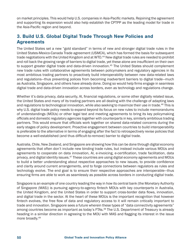on market principles. This would help U.S. companies in Asia-Pacific markets. Rejoining the agreement and supporting its expansion would also help establish the CPTPP as the leading model for trade in the Asia-Pacific region and beyond.

#### 3. Build U.S. Global Digital Trade Through New Policies and Agreements

The United States set a new "gold standard" in terms of new and stronger digital trade rules in the United States-Mexico-Canada Trade agreement (USMCA), which has formed the basis for subsequent trade negotiations with the United Kingdom and at WTO.<sup>44</sup> New digital trade rules are needed to prohibit and roll back the growing range of barriers to digital trade, yet these alone are insufficient on their own to support greater digital trade and data-driven innovation.<sup>45</sup> The United States should complement new trade rules with collaborative agreements between policymakers and regulatory agencies in its most ambitious trading partners to proactively build interoperability between new data-related laws and regulations—thus preventing polices from becoming inadvertent barriers to digital trade—much as Australia, Singapore, and others have already done. Doing so would help firms engage in seamless digital trade and data-driven innovation across borders, even as technology and regulations change.

Whether it's data privacy, data security, AI, financial regulations, or some other digitally related issue, the United States and many of its trading partners are all dealing with the challenge of adapting laws and regulations to technological innovation, while also seeking to maximize their use in trade.46 This is why U.S. digital trade policy needs to expand beyond its focus on new rules to include memorandums of understandings (MOUs) or other legal text and meeting agreements to bring its key policymaking officials and domestic regulatory agencies together with counterparts in key, similarly ambitious trading partners. This would ensure that officials work together on shared data-related concerns during the early stages of policy development. Proactive engagement between countries to build interoperability is preferable to the alternative in terms of engaging after the fact to retrospectively revise policies that become a well-established (and thus difficult-to-remove) barrier to digital trade.

Australia, Chile, New Zealand, and Singapore are showing how this can be done through digital economy agreements that often don't include new binding trade rules, but instead include various MOUs and agreements to cooperate on data innovation, AI, e-invoicing, e-certification, trade facilitation, data privacy, and digital identity issues.<sup>47</sup> These countries are using digital economy agreements and MOUs to build a better understanding about respective approaches to new issues, to provide confidence and clarity around current arrangements, and to forge connections between regulators as rules and technology evolve. The end goal is to ensure their respective approaches are interoperable—thus ensuring firms are able to work as seamlessly as possible across borders in conducting digital trade.

Singapore is an example of one country leading the way in how its central bank (the Monetary Authority of Singapore (MAS)) is pursuing agency-to-agency fintech MOUs with key counterparts in Australia, the United Kingdom, and the United States in order to support cross-border data flows, innovation, and digital trade in the sector. At the heart of these MOUs is the important recognition that however fintech evolves, the free flow of data and regulatory access to it will remain critically important to trade and innovation. Singapore sees a future wherein these types of "data connectivity agreements" among countries become as important as today's FTAs.<sup>48</sup> The U.S. Department of Treasury is already heading in a similar direction in agreeing to the MOU with MAS and flagging its interest in the issue more broadly.49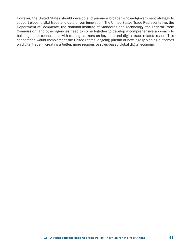However, the United States should develop and pursue a broader whole-of-government strategy to support global digital trade and data-driven innovation. The United States Trade Representative, the Department of Commerce, the National Institute of Standards and Technology, the Federal Trade Commission, and other agencies need to come together to develop a comprehensive approach to building better connections with trading partners on key data and digital trade-related issues. This cooperation would complement the United States' ongoing pursuit of new legally binding outcomes on digital trade in creating a better, more responsive rules-based global digital economy.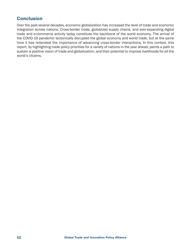#### **Conclusion**

Over the past several decades, economic globalization has increased the level of trade and economic integration across nations. Cross-border trade, globalized supply chains, and ever-expanding digital trade and e-commerce activity today constitute the backbone of the world economy. The arrival of the COVID-19 pandemic tectonically disrupted the global economy and world trade, but at the same time it has reiterated the importance of advancing cross-border interactions. In this context, this report, by highlighting trade policy priorities for a variety of nations in the year ahead, paints a path to sustain a positive vision of trade and globalization, and their potential to improve livelihoods for all the world's citizens.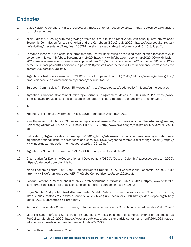# **Endnotes**

- 1. Datos Macro, "Argentina, el PIB cae respecto al trimestre anterior," December 2019, https://datosmacro.expansion. com/pib/argentina.
- 2. Alicia Bárcena, "Dealing with the growing effects of COVID-19 for a reactivation with equality: new projections," Economic Commission for Latin America and the Caribbean (ECLAC, July 2020), https://www.cepal.org/sites/ default/files/presentation/files/final\_200714\_version\_revisada\_ab-ppt\_informe\_covid\_5\_15\_julio.pdf.\
- 3. Fernando Meaños, "The consulting firms that the Central Bank relies on reduced their inflation forecast to 37.8 percent for this year," Infobae, September 4, 2020, https://www.infobae.com/economia/2020/09/04/inflacion-2020-los-analistas-economicos-reducen-su-pronostico-al-378/#:~:text=Para percent202021 percent2C percent20la percent20inflaci percentC3 percentB3n percent20prevista,Banco percent20Central percent20correspondiente percent20a percent20agosto.
- 4. Argentina´s National Government, "MERCOSUR European Union (EU) 2019," https://www.argentina.gob.ar/ produccion/acuerdos-internacionales/conoce/tlc/suscritos/ue.
- 5. European Commission, "In Focus: EU Mercosur," https://ec.europa.eu/trade/policy/in-focus/eu-mercosur-as.
- 6. Argentina´s National Government, "Strategic Partnership Agreement Mercosur EU" (July 2019), https://www. cancilleria.gob.ar/userfiles/prensa/resumen\_acuerdo\_mcs-ue\_elaborado\_por\_gobierno\_argentino.pdf.
- 7. Ibid.
- 8. Argentina´s National Government, "MERCOSUR European Union (EU) 2019."
- 9. Iván Alejandro Trujillo Acosta, "Sobre las ventajas de la Alianza del Pacífico para Colombia," Revista Prolegómenos, Derechos y Valores Vol. 17, Issue 33 (June 2014): 159–172, http://www.scielo.org.co/pdf/prole/v17n33/v17n33a11. pdf.
- 10. Datos Macro, "Argentina Merchandise Exports" (2019), https://datosmacro.expansion.com/comercio/exportaciones/ argentina; National Institute of Statistics and Census (NIOSC), "Argentine commercial exchange" (2019), https:// www.indec.gob.ar/uploads/informesdeprensa/ica\_02\_19.pdf.
- 11. Argentina´s National Government, "MERCOSUR European Union (EU) 2019."
- 12. Organization for Economic Cooperation and Development (OECD), "Data on Colombia" (accessed June 14, 2020), https://data.oecd.org/colombia.htm.
- 13. World Economic Forum, The Global Competitiveness Report 2019, "Geneva: World Economic Forum, 2019," http://www3.weforum.org/docs/WEF\_TheGlobalCompetitivenessReport2019.pdf.
- 14. Rosario Córdoba, "Internacionalización vs. proteccionismo," Portafolio, July 13, 2020, https://www.portafolio. co/internacionalizacion-vs-proteccionismo-opinion-rosario-cordoba-garces-542672.
- 15. Jorge García, Enrique Montes-Uribe, and Iader Giraldo-Salazar, "Comercio exterior en Colombia: política, instituciones, costos y resultados," Banco de la República (July-December 2019), https://ideas.repec.org/b/bdr/ bdrlib/2019-isbn9789586644068.html.
- 16. Asociación Nacional de Comercio Exterior, "Informe de Comercio Exterior Colombiano enero-diciembre 2019.2020."
- 17. Mauricio Santamaría and Carlos Felipe Prada, "Retos y reflexiones sobre el comercio exterior en Colombia," La República, March 10, 2020, https://www.larepublica.co/analisis/mauricio-santa-maria---anif-2941063/retos-yreflexiones-sobre-el-comercio-exterior-en-colombia-2975068.
- 18. Source: Italian Trade Agency, 2020.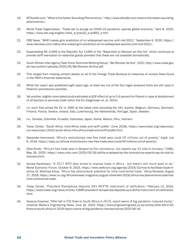- 19. SFDoodle.com, "What is the Italian Sounding Phenomenon," http://www.sfoodle.com/what-is-the-italian-soundingphenomenon/.
- 20. World Trade Organization, "Trade set to plunge as COVID-19 pandemic upends global economy," April 8, 2020, https://www.wto.org/english/news\_e/pres20\_e/pr855\_e.htm.
- 21. CBS News, "WHO makes grim prediction of no widespread vaccine until mid-2021," September 6, 2020, https:// www.cbsnews.com/video/who-makes-grim-prediction-of-no-widespread-vaccine-until-mid-2021/.
- 22. Superseding RA 11469 is the Republic Act 11494 or the "Bayanihan to Recover as One Act" which continues to provide tariff exemption on essential goods provided that these are not available domestically.
- 23. South African Inter-agency Task Force Technical Working Group, "We Recover As One" (202), http://www.neda.gov. ph/wp-content/uploads/2020/05/We-Recover-As-One.pdf.
- 24. This ranges from missing contact details on all of the Foreign Trade Bureaus to instances of unclear flows found in the PAIH's financial statements.
- 25. While the report was published eight years ago, at least two out of the four logos analyzed there are still used in Poland's promotional activities.
- 26. Yet another, slightly more dated study estimated a GDP effect of up to 0.4 percent for Poland in case of abolishment of all barriers to services trade within the EU (Hagemejer et. al. 2014).
- 27. I.e. such that joined the EU in 1995 at the latest (and excluding the UK): Austria, Belgium, Germany, Denmark, Finland, France, Greece, Ireland, Italy, Luxembourg, the Netherlands, Portugal, Spain, Sweden.
- 28. I.e., Canada, Colombia, Ecuador, Indonesia, Japan, Korea, Mexico, Peru, Vietnam.
- 29. Tralac Center, "South Africa: Intra-Africa trade and tariff profile" (June 2018), https://www.tralac.org/resources/ our-resources/13142-south-africa-intra-africa-trade-and-tariff-profile.html.
- 30. Alexander Hammond, "Africa's revolutionary new free trade area could lift millions out of poverty," CapX, July 6, 2018, https://capx.co/africas-revolutionary-new-free-trade-area-could-lift-millions-out-of-poverty/.
- 31. Elliot Smith, "Africa's free trade area is delayed by the coronavirus, but experts say it's vital to recovery," CNBC, May 26, 2020, https://www.cnbc.com/2020/05/26/afcfta-is-delayed-by-the-coronavirus-experts-say-its-vital-torecovery.html.
- 32. Asmita Parshotam, "A 2017 WTO deal aimed to improve trade in Africa but there's still much work to do," World Economic Forum, October 9, 2019, https://www.weforum.org/agenda/2019/10/how-to-facilitate-trade-inafrica; Dr. Mukhisa Kituyi, "Africa has phenomenal potential for intra-continental trade," Africa Renewal, August 27, 2018, https://www.un.org/africarenewal/magazine/august-november-2018/africa-has-phenomenal-potentialintra-continental-trade.
- 33. Tralac Center, "President Ramaphosa deposits SA's AfCFTA instrument of ratification," February 12, 2019, https://www.tralac.org/news/article/13899-president-ramaphosa-deposits-sa-s-afcfta-instrument-of-ratification. html.
- 34. Terence Creamer, "After fall in FDI flows to South Africa in 2019, report warns of big pandemic-induced slump," Creamer Media's Engineering News, June 16, 2020, https://www.engineeringnews.co.za/article/after-fall-in-fdiflows-to-south-africa-in-2019-report-warns-of-big-pandemic-induced-slump-2020-06-16.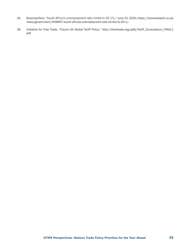- 35. BusinessTech, "South Africa's unemployment rate climbs to 30.1%," June 23, 2020, https://businesstech.co.za/ news/government/409897/south-africas-unemployment-rate-climbs-to-30-1/.
- 36. Initiative for Free Trade, "Future UK Global Tariff Policy," http://ifreetrade.org/pdfs/Tariff\_Consultation\_FINAL1. pdf.